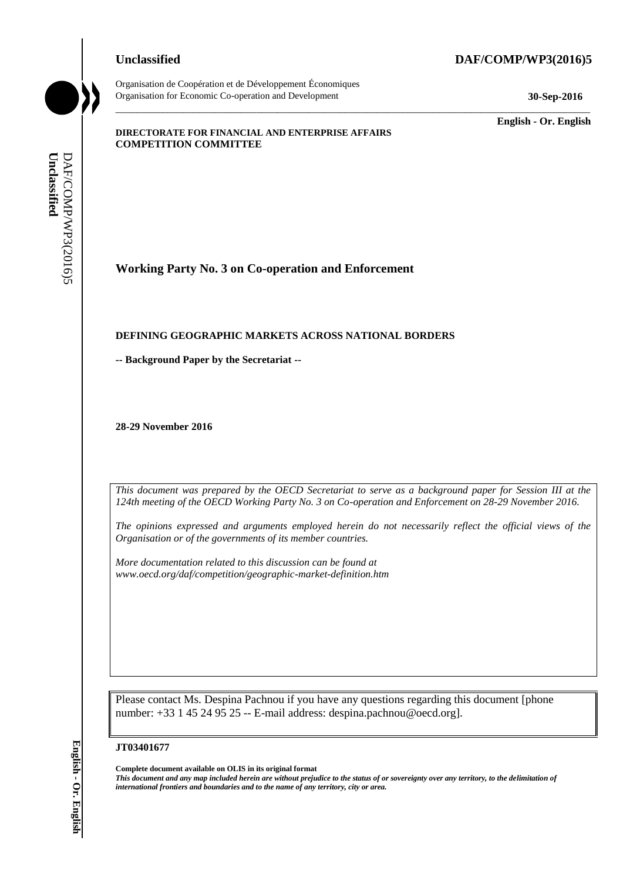## **Unclassified DAF/COMP/WP3(2016)5**



Organisation de Coopération et de Développement Économiques Organisation for Economic Co-operation and Development **30-Sep-2016**

\_\_\_\_\_\_\_\_\_\_\_\_\_ **English - Or. English**

#### **DIRECTORATE FOR FINANCIAL AND ENTERPRISE AFFAIRS COMPETITION COMMITTEE**

**Working Party No. 3 on Co-operation and Enforcement**

#### **DEFINING GEOGRAPHIC MARKETS ACROSS NATIONAL BORDERS**

**-- Background Paper by the Secretariat --**

**28-29 November 2016**

*This document was prepared by the OECD Secretariat to serve as a background paper for Session III at the 124th meeting of the OECD Working Party No. 3 on Co-operation and Enforcement on 28-29 November 2016.* 

\_\_\_\_\_\_\_\_\_\_\_\_\_\_\_\_\_\_\_\_\_\_\_\_\_\_\_\_\_\_\_\_\_\_\_\_\_\_\_\_\_\_\_\_\_\_\_\_\_\_\_\_\_\_\_\_\_\_\_\_\_\_\_\_\_\_\_\_\_\_\_\_\_\_\_\_\_\_\_\_\_\_\_\_\_\_\_\_\_\_\_

*The opinions expressed and arguments employed herein do not necessarily reflect the official views of the Organisation or of the governments of its member countries.*

*More documentation related to this discussion can be found at www.oecd.org/daf/competition/geographic-market-definition.htm*

Please contact Ms. Despina Pachnou if you have any questions regarding this document [phone number: +33 1 45 24 95 25 -- E-mail address: despina.pachnou@oecd.org].

#### **JT03401677**

**Complete document available on OLIS in its original format** *This document and any map included herein are without prejudice to the status of or sovereignty over any territory, to the delimitation of*  **iii** *international frontiers and boundaries and boundaries and to the name of any territory, city or area.* **If**  $\frac{1}{2}$  **English and DAF/COMP/WE3(2016)**<br> **IF**  $\frac{1}{2}$  **DAF/COMP/WE4 FRONTIC MARKETS ACROSS NATION**<br> **I**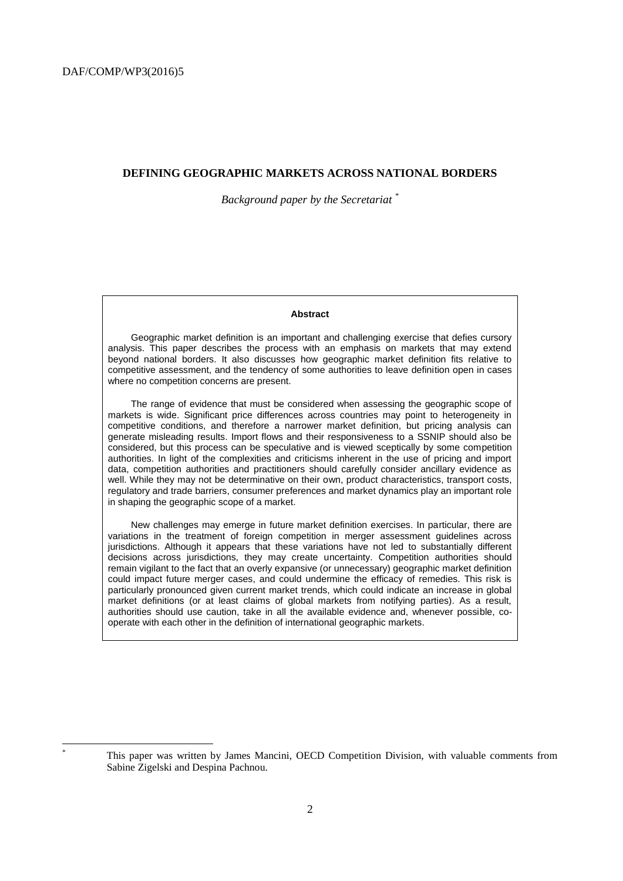l

#### <span id="page-1-0"></span>**DEFINING GEOGRAPHIC MARKETS ACROSS NATIONAL BORDERS**

*Background paper by the Secretariat \**

#### **Abstract**

Geographic market definition is an important and challenging exercise that defies cursory analysis. This paper describes the process with an emphasis on markets that may extend beyond national borders. It also discusses how geographic market definition fits relative to competitive assessment, and the tendency of some authorities to leave definition open in cases where no competition concerns are present.

The range of evidence that must be considered when assessing the geographic scope of markets is wide. Significant price differences across countries may point to heterogeneity in competitive conditions, and therefore a narrower market definition, but pricing analysis can generate misleading results. Import flows and their responsiveness to a SSNIP should also be considered, but this process can be speculative and is viewed sceptically by some competition authorities. In light of the complexities and criticisms inherent in the use of pricing and import data, competition authorities and practitioners should carefully consider ancillary evidence as well. While they may not be determinative on their own, product characteristics, transport costs, regulatory and trade barriers, consumer preferences and market dynamics play an important role in shaping the geographic scope of a market.

New challenges may emerge in future market definition exercises. In particular, there are variations in the treatment of foreign competition in merger assessment guidelines across jurisdictions. Although it appears that these variations have not led to substantially different decisions across jurisdictions, they may create uncertainty. Competition authorities should remain vigilant to the fact that an overly expansive (or unnecessary) geographic market definition could impact future merger cases, and could undermine the efficacy of remedies. This risk is particularly pronounced given current market trends, which could indicate an increase in global market definitions (or at least claims of global markets from notifying parties). As a result, authorities should use caution, take in all the available evidence and, whenever possible, cooperate with each other in the definition of international geographic markets.

\* This paper was written by James Mancini, OECD Competition Division, with valuable comments from Sabine Zigelski and Despina Pachnou.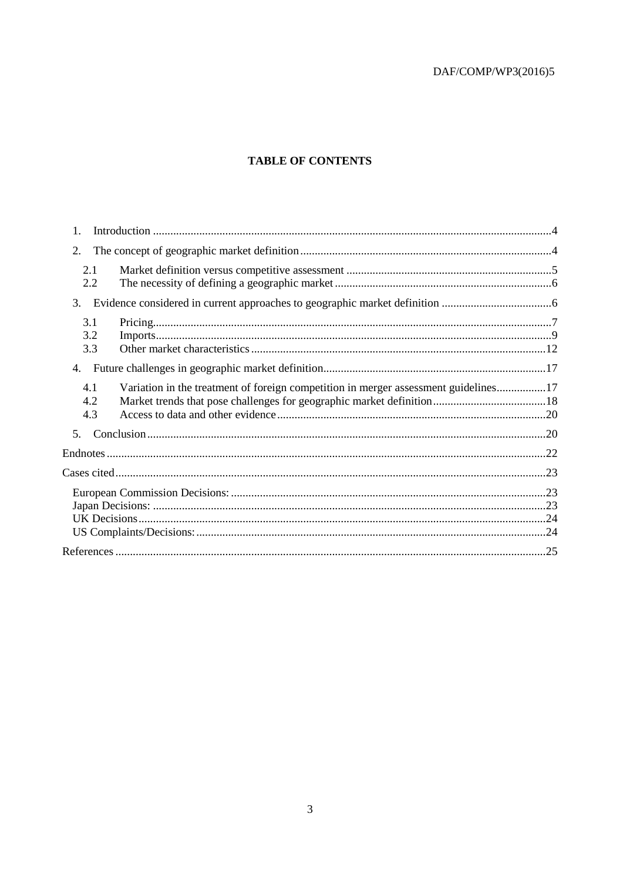## **TABLE OF CONTENTS**

| 1.                                                                                         |  |
|--------------------------------------------------------------------------------------------|--|
| $\overline{2}$ .                                                                           |  |
| 2.1                                                                                        |  |
| 2.2                                                                                        |  |
| 3 <sub>1</sub>                                                                             |  |
| 3.1                                                                                        |  |
| 3.2                                                                                        |  |
| 3.3                                                                                        |  |
|                                                                                            |  |
| Variation in the treatment of foreign competition in merger assessment guidelines17<br>4.1 |  |
| 4.2                                                                                        |  |
| 4.3                                                                                        |  |
| 5.                                                                                         |  |
|                                                                                            |  |
|                                                                                            |  |
|                                                                                            |  |
|                                                                                            |  |
|                                                                                            |  |
|                                                                                            |  |
|                                                                                            |  |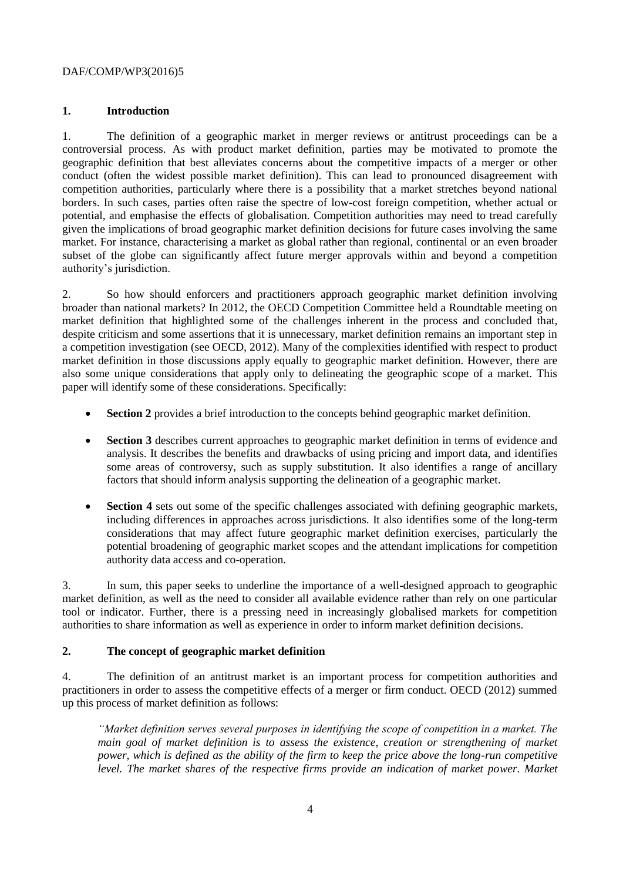## <span id="page-3-0"></span>**1. Introduction**

1. The definition of a geographic market in merger reviews or antitrust proceedings can be a controversial process. As with product market definition, parties may be motivated to promote the geographic definition that best alleviates concerns about the competitive impacts of a merger or other conduct (often the widest possible market definition). This can lead to pronounced disagreement with competition authorities, particularly where there is a possibility that a market stretches beyond national borders. In such cases, parties often raise the spectre of low-cost foreign competition, whether actual or potential, and emphasise the effects of globalisation. Competition authorities may need to tread carefully given the implications of broad geographic market definition decisions for future cases involving the same market. For instance, characterising a market as global rather than regional, continental or an even broader subset of the globe can significantly affect future merger approvals within and beyond a competition authority's jurisdiction.

2. So how should enforcers and practitioners approach geographic market definition involving broader than national markets? In 2012, the OECD Competition Committee held a Roundtable meeting on market definition that highlighted some of the challenges inherent in the process and concluded that, despite criticism and some assertions that it is unnecessary, market definition remains an important step in a competition investigation (see OECD, 2012). Many of the complexities identified with respect to product market definition in those discussions apply equally to geographic market definition. However, there are also some unique considerations that apply only to delineating the geographic scope of a market. This paper will identify some of these considerations. Specifically:

- **Section 2** provides a brief introduction to the concepts behind geographic market definition.
- **Section 3** describes current approaches to geographic market definition in terms of evidence and analysis. It describes the benefits and drawbacks of using pricing and import data, and identifies some areas of controversy, such as supply substitution. It also identifies a range of ancillary factors that should inform analysis supporting the delineation of a geographic market.
- **Section 4** sets out some of the specific challenges associated with defining geographic markets, including differences in approaches across jurisdictions. It also identifies some of the long-term considerations that may affect future geographic market definition exercises, particularly the potential broadening of geographic market scopes and the attendant implications for competition authority data access and co-operation.

3. In sum, this paper seeks to underline the importance of a well-designed approach to geographic market definition, as well as the need to consider all available evidence rather than rely on one particular tool or indicator. Further, there is a pressing need in increasingly globalised markets for competition authorities to share information as well as experience in order to inform market definition decisions.

### <span id="page-3-1"></span>**2. The concept of geographic market definition**

4. The definition of an antitrust market is an important process for competition authorities and practitioners in order to assess the competitive effects of a merger or firm conduct. OECD (2012) summed up this process of market definition as follows:

*"Market definition serves several purposes in identifying the scope of competition in a market. The main goal of market definition is to assess the existence, creation or strengthening of market power, which is defined as the ability of the firm to keep the price above the long-run competitive level. The market shares of the respective firms provide an indication of market power. Market*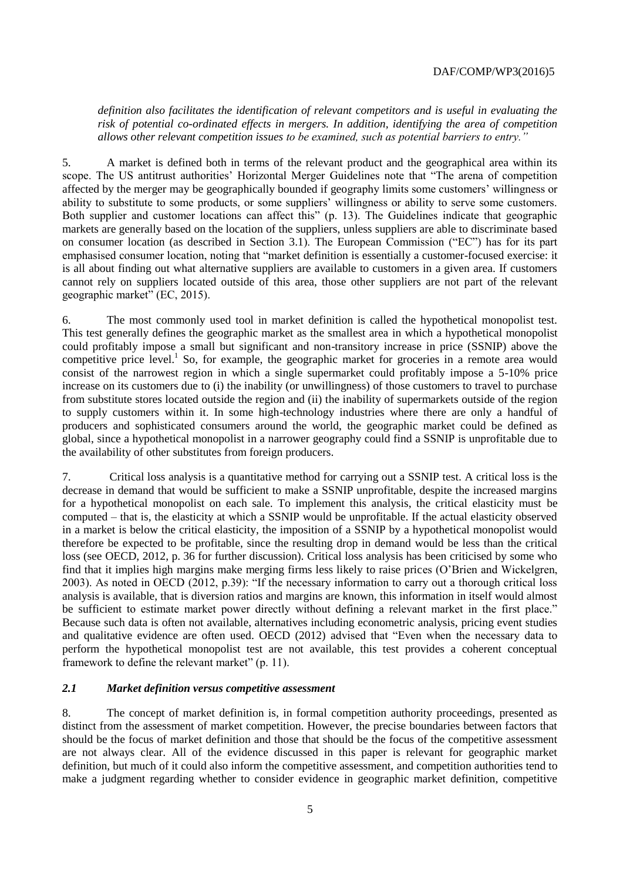*definition also facilitates the identification of relevant competitors and is useful in evaluating the risk of potential co-ordinated effects in mergers. In addition, identifying the area of competition allows other relevant competition issues to be examined, such as potential barriers to entry."*

5. A market is defined both in terms of the relevant product and the geographical area within its scope. The US antitrust authorities' Horizontal Merger Guidelines note that "The arena of competition affected by the merger may be geographically bounded if geography limits some customers' willingness or ability to substitute to some products, or some suppliers' willingness or ability to serve some customers. Both supplier and customer locations can affect this" (p. 13). The Guidelines indicate that geographic markets are generally based on the location of the suppliers, unless suppliers are able to discriminate based on consumer location (as described in Section 3.1). The European Commission ("EC") has for its part emphasised consumer location, noting that "market definition is essentially a customer-focused exercise: it is all about finding out what alternative suppliers are available to customers in a given area. If customers cannot rely on suppliers located outside of this area, those other suppliers are not part of the relevant geographic market" (EC, 2015).

6. The most commonly used tool in market definition is called the hypothetical monopolist test. This test generally defines the geographic market as the smallest area in which a hypothetical monopolist could profitably impose a small but significant and non-transitory increase in price (SSNIP) above the competitive price level.<sup>1</sup> So, for example, the geographic market for groceries in a remote area would consist of the narrowest region in which a single supermarket could profitably impose a 5-10% price increase on its customers due to (i) the inability (or unwillingness) of those customers to travel to purchase from substitute stores located outside the region and (ii) the inability of supermarkets outside of the region to supply customers within it. In some high-technology industries where there are only a handful of producers and sophisticated consumers around the world, the geographic market could be defined as global, since a hypothetical monopolist in a narrower geography could find a SSNIP is unprofitable due to the availability of other substitutes from foreign producers.

7. Critical loss analysis is a quantitative method for carrying out a SSNIP test. A critical loss is the decrease in demand that would be sufficient to make a SSNIP unprofitable, despite the increased margins for a hypothetical monopolist on each sale. To implement this analysis, the critical elasticity must be computed – that is, the elasticity at which a SSNIP would be unprofitable. If the actual elasticity observed in a market is below the critical elasticity, the imposition of a SSNIP by a hypothetical monopolist would therefore be expected to be profitable, since the resulting drop in demand would be less than the critical loss (see OECD, 2012, p. 36 for further discussion). Critical loss analysis has been criticised by some who find that it implies high margins make merging firms less likely to raise prices (O'Brien and Wickelgren, 2003). As noted in OECD (2012, p.39): "If the necessary information to carry out a thorough critical loss analysis is available, that is diversion ratios and margins are known, this information in itself would almost be sufficient to estimate market power directly without defining a relevant market in the first place." Because such data is often not available, alternatives including econometric analysis, pricing event studies and qualitative evidence are often used. OECD (2012) advised that "Even when the necessary data to perform the hypothetical monopolist test are not available, this test provides a coherent conceptual framework to define the relevant market" (p. 11).

#### <span id="page-4-0"></span>*2.1 Market definition versus competitive assessment*

8. The concept of market definition is, in formal competition authority proceedings, presented as distinct from the assessment of market competition. However, the precise boundaries between factors that should be the focus of market definition and those that should be the focus of the competitive assessment are not always clear. All of the evidence discussed in this paper is relevant for geographic market definition, but much of it could also inform the competitive assessment, and competition authorities tend to make a judgment regarding whether to consider evidence in geographic market definition, competitive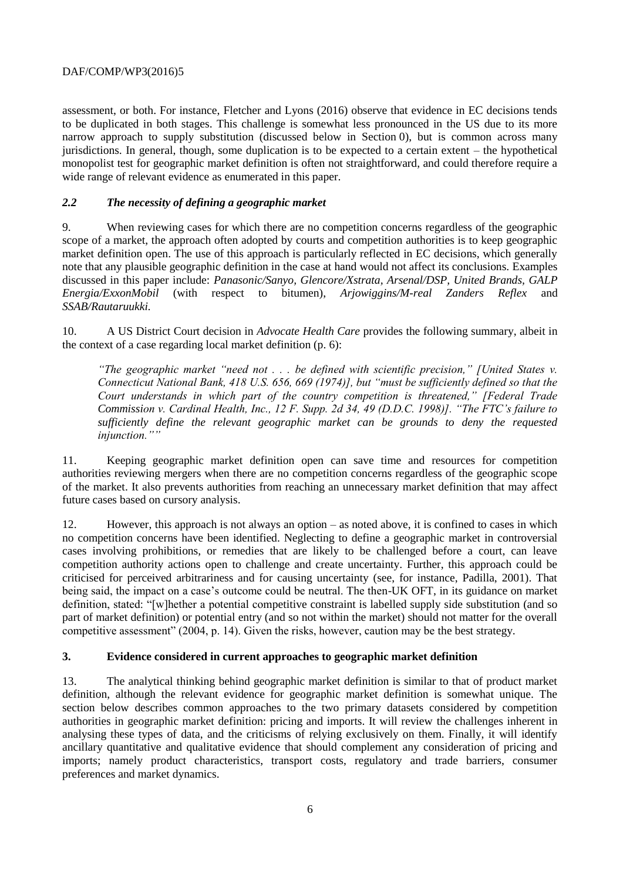assessment, or both. For instance, Fletcher and Lyons (2016) observe that evidence in EC decisions tends to be duplicated in both stages. This challenge is somewhat less pronounced in the US due to its more narrow approach to supply substitution (discussed below in Section [0\)](#page-8-0), but is common across many jurisdictions. In general, though, some duplication is to be expected to a certain extent – the hypothetical monopolist test for geographic market definition is often not straightforward, and could therefore require a wide range of relevant evidence as enumerated in this paper.

## <span id="page-5-0"></span>*2.2 The necessity of defining a geographic market*

9. When reviewing cases for which there are no competition concerns regardless of the geographic scope of a market, the approach often adopted by courts and competition authorities is to keep geographic market definition open. The use of this approach is particularly reflected in EC decisions, which generally note that any plausible geographic definition in the case at hand would not affect its conclusions. Examples discussed in this paper include: *Panasonic/Sanyo, Glencore/Xstrata, Arsenal/DSP, United Brands, GALP Energia/ExxonMobil* (with respect to bitumen), *Arjowiggins/M-real Zanders Reflex* and *SSAB/Rautaruukki.* 

10. A US District Court decision in *Advocate Health Care* provides the following summary, albeit in the context of a case regarding local market definition (p. 6):

*"The geographic market "need not . . . be defined with scientific precision," [United States v. Connecticut National Bank, 418 U.S. 656, 669 (1974)], but "must be sufficiently defined so that the Court understands in which part of the country competition is threatened," [Federal Trade Commission v. Cardinal Health, Inc., 12 F. Supp. 2d 34, 49 (D.D.C. 1998)]. "The FTC's failure to sufficiently define the relevant geographic market can be grounds to deny the requested injunction.""*

11. Keeping geographic market definition open can save time and resources for competition authorities reviewing mergers when there are no competition concerns regardless of the geographic scope of the market. It also prevents authorities from reaching an unnecessary market definition that may affect future cases based on cursory analysis.

12. However, this approach is not always an option – as noted above, it is confined to cases in which no competition concerns have been identified. Neglecting to define a geographic market in controversial cases involving prohibitions, or remedies that are likely to be challenged before a court, can leave competition authority actions open to challenge and create uncertainty. Further, this approach could be criticised for perceived arbitrariness and for causing uncertainty (see, for instance, Padilla, 2001). That being said, the impact on a case's outcome could be neutral. The then-UK OFT, in its guidance on market definition, stated: "[w]hether a potential competitive constraint is labelled supply side substitution (and so part of market definition) or potential entry (and so not within the market) should not matter for the overall competitive assessment" (2004, p. 14). Given the risks, however, caution may be the best strategy.

### <span id="page-5-1"></span>**3. Evidence considered in current approaches to geographic market definition**

13. The analytical thinking behind geographic market definition is similar to that of product market definition, although the relevant evidence for geographic market definition is somewhat unique. The section below describes common approaches to the two primary datasets considered by competition authorities in geographic market definition: pricing and imports. It will review the challenges inherent in analysing these types of data, and the criticisms of relying exclusively on them. Finally, it will identify ancillary quantitative and qualitative evidence that should complement any consideration of pricing and imports; namely product characteristics, transport costs, regulatory and trade barriers, consumer preferences and market dynamics.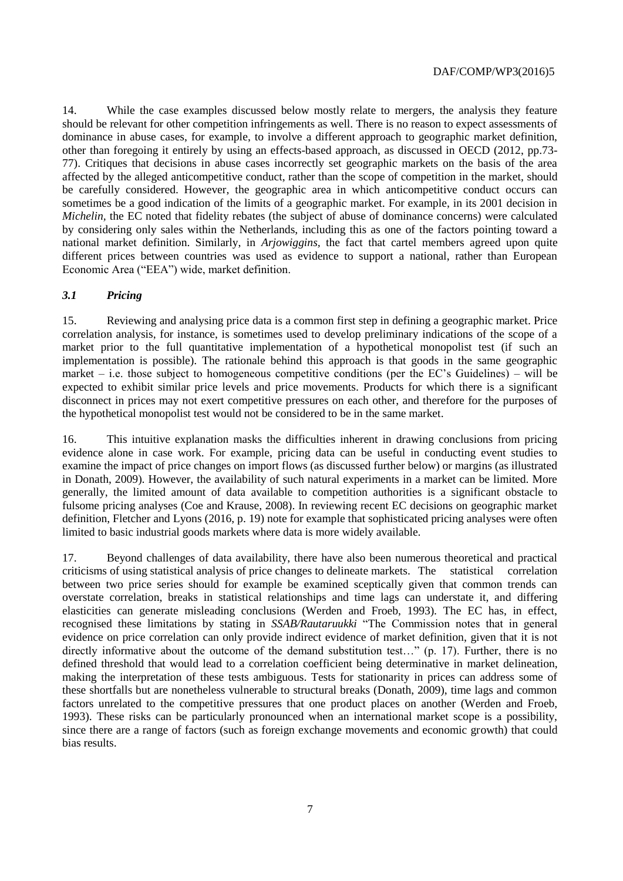14. While the case examples discussed below mostly relate to mergers, the analysis they feature should be relevant for other competition infringements as well. There is no reason to expect assessments of dominance in abuse cases, for example, to involve a different approach to geographic market definition, other than foregoing it entirely by using an effects-based approach, as discussed in OECD (2012, pp.73- 77). Critiques that decisions in abuse cases incorrectly set geographic markets on the basis of the area affected by the alleged anticompetitive conduct, rather than the scope of competition in the market, should be carefully considered. However, the geographic area in which anticompetitive conduct occurs can sometimes be a good indication of the limits of a geographic market. For example, in its 2001 decision in *Michelin*, the EC noted that fidelity rebates (the subject of abuse of dominance concerns) were calculated by considering only sales within the Netherlands, including this as one of the factors pointing toward a national market definition. Similarly, in *Arjowiggins,* the fact that cartel members agreed upon quite different prices between countries was used as evidence to support a national, rather than European Economic Area ("EEA") wide, market definition.

## <span id="page-6-0"></span>*3.1 Pricing*

15. Reviewing and analysing price data is a common first step in defining a geographic market. Price correlation analysis, for instance, is sometimes used to develop preliminary indications of the scope of a market prior to the full quantitative implementation of a hypothetical monopolist test (if such an implementation is possible). The rationale behind this approach is that goods in the same geographic market – i.e. those subject to homogeneous competitive conditions (per the EC's Guidelines) – will be expected to exhibit similar price levels and price movements. Products for which there is a significant disconnect in prices may not exert competitive pressures on each other, and therefore for the purposes of the hypothetical monopolist test would not be considered to be in the same market.

16. This intuitive explanation masks the difficulties inherent in drawing conclusions from pricing evidence alone in case work. For example, pricing data can be useful in conducting event studies to examine the impact of price changes on import flows (as discussed further below) or margins (as illustrated in Donath, 2009). However, the availability of such natural experiments in a market can be limited. More generally, the limited amount of data available to competition authorities is a significant obstacle to fulsome pricing analyses (Coe and Krause, 2008). In reviewing recent EC decisions on geographic market definition, Fletcher and Lyons (2016, p. 19) note for example that sophisticated pricing analyses were often limited to basic industrial goods markets where data is more widely available.

17. Beyond challenges of data availability, there have also been numerous theoretical and practical criticisms of using statistical analysis of price changes to delineate markets. The statistical correlation between two price series should for example be examined sceptically given that common trends can overstate correlation, breaks in statistical relationships and time lags can understate it, and differing elasticities can generate misleading conclusions (Werden and Froeb, 1993). The EC has, in effect, recognised these limitations by stating in *SSAB/Rautaruukki* "The Commission notes that in general evidence on price correlation can only provide indirect evidence of market definition, given that it is not directly informative about the outcome of the demand substitution test…" (p. 17). Further, there is no defined threshold that would lead to a correlation coefficient being determinative in market delineation, making the interpretation of these tests ambiguous. Tests for stationarity in prices can address some of these shortfalls but are nonetheless vulnerable to structural breaks (Donath, 2009), time lags and common factors unrelated to the competitive pressures that one product places on another (Werden and Froeb, 1993). These risks can be particularly pronounced when an international market scope is a possibility, since there are a range of factors (such as foreign exchange movements and economic growth) that could bias results.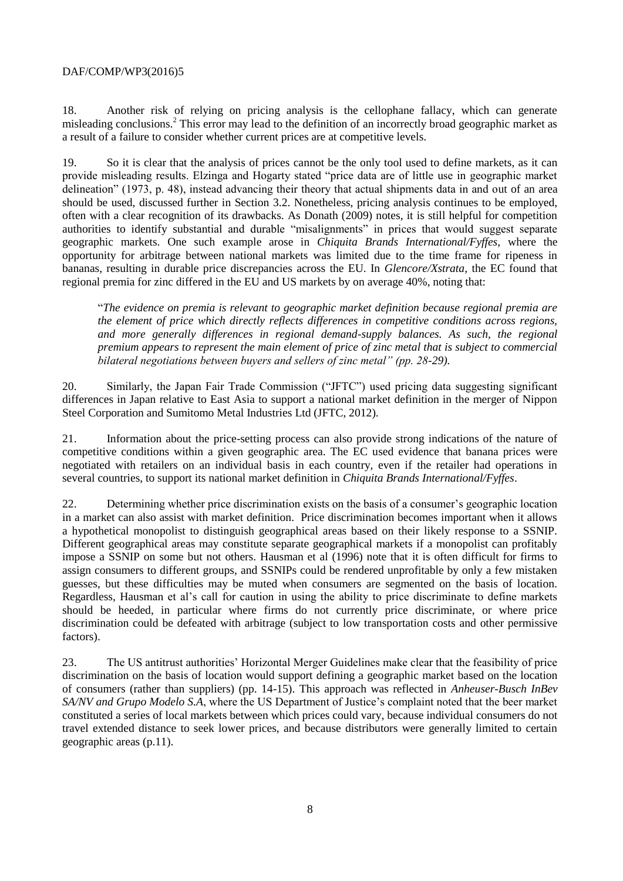18. Another risk of relying on pricing analysis is the cellophane fallacy, which can generate misleading conclusions.<sup>2</sup> This error may lead to the definition of an incorrectly broad geographic market as a result of a failure to consider whether current prices are at competitive levels.

19. So it is clear that the analysis of prices cannot be the only tool used to define markets, as it can provide misleading results. Elzinga and Hogarty stated "price data are of little use in geographic market delineation" (1973, p. 48), instead advancing their theory that actual shipments data in and out of an area should be used, discussed further in Section 3.2. Nonetheless, pricing analysis continues to be employed, often with a clear recognition of its drawbacks. As Donath (2009) notes, it is still helpful for competition authorities to identify substantial and durable "misalignments" in prices that would suggest separate geographic markets. One such example arose in *Chiquita Brands International/Fyffes,* where the opportunity for arbitrage between national markets was limited due to the time frame for ripeness in bananas, resulting in durable price discrepancies across the EU. In *Glencore/Xstrata,* the EC found that regional premia for zinc differed in the EU and US markets by on average 40%, noting that:

"*The evidence on premia is relevant to geographic market definition because regional premia are the element of price which directly reflects differences in competitive conditions across regions,*  and more generally differences in regional demand-supply balances. As such, the regional *premium appears to represent the main element of price of zinc metal that is subject to commercial bilateral negotiations between buyers and sellers of zinc metal" (pp. 28-29).* 

20. Similarly, the Japan Fair Trade Commission ("JFTC") used pricing data suggesting significant differences in Japan relative to East Asia to support a national market definition in the merger of Nippon Steel Corporation and Sumitomo Metal Industries Ltd (JFTC, 2012).

21. Information about the price-setting process can also provide strong indications of the nature of competitive conditions within a given geographic area. The EC used evidence that banana prices were negotiated with retailers on an individual basis in each country, even if the retailer had operations in several countries, to support its national market definition in *Chiquita Brands International/Fyffes*.

22. Determining whether price discrimination exists on the basis of a consumer's geographic location in a market can also assist with market definition. Price discrimination becomes important when it allows a hypothetical monopolist to distinguish geographical areas based on their likely response to a SSNIP. Different geographical areas may constitute separate geographical markets if a monopolist can profitably impose a SSNIP on some but not others. Hausman et al (1996) note that it is often difficult for firms to assign consumers to different groups, and SSNIPs could be rendered unprofitable by only a few mistaken guesses, but these difficulties may be muted when consumers are segmented on the basis of location. Regardless, Hausman et al's call for caution in using the ability to price discriminate to define markets should be heeded, in particular where firms do not currently price discriminate, or where price discrimination could be defeated with arbitrage (subject to low transportation costs and other permissive factors).

23. The US antitrust authorities' Horizontal Merger Guidelines make clear that the feasibility of price discrimination on the basis of location would support defining a geographic market based on the location of consumers (rather than suppliers) (pp. 14-15). This approach was reflected in *Anheuser-Busch InBev SA/NV and Grupo Modelo S.A*, where the US Department of Justice's complaint noted that the beer market constituted a series of local markets between which prices could vary, because individual consumers do not travel extended distance to seek lower prices, and because distributors were generally limited to certain geographic areas (p.11).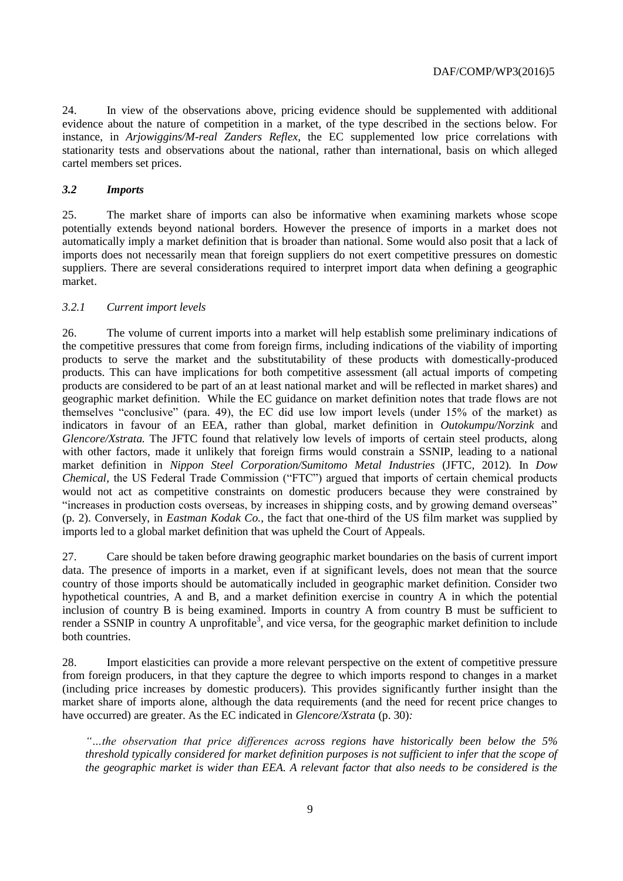24. In view of the observations above, pricing evidence should be supplemented with additional evidence about the nature of competition in a market, of the type described in the sections below. For instance, in *Arjowiggins/M-real Zanders Reflex,* the EC supplemented low price correlations with stationarity tests and observations about the national, rather than international, basis on which alleged cartel members set prices.

#### <span id="page-8-0"></span>*3.2 Imports*

25. The market share of imports can also be informative when examining markets whose scope potentially extends beyond national borders. However the presence of imports in a market does not automatically imply a market definition that is broader than national. Some would also posit that a lack of imports does not necessarily mean that foreign suppliers do not exert competitive pressures on domestic suppliers. There are several considerations required to interpret import data when defining a geographic market.

#### *3.2.1 Current import levels*

26. The volume of current imports into a market will help establish some preliminary indications of the competitive pressures that come from foreign firms, including indications of the viability of importing products to serve the market and the substitutability of these products with domestically-produced products. This can have implications for both competitive assessment (all actual imports of competing products are considered to be part of an at least national market and will be reflected in market shares) and geographic market definition. While the EC guidance on market definition notes that trade flows are not themselves "conclusive" (para. 49), the EC did use low import levels (under 15% of the market) as indicators in favour of an EEA, rather than global, market definition in *Outokumpu/Norzink* and *Glencore/Xstrata.* The JFTC found that relatively low levels of imports of certain steel products, along with other factors, made it unlikely that foreign firms would constrain a SSNIP, leading to a national market definition in *Nippon Steel Corporation/Sumitomo Metal Industries* (JFTC, 2012)*.* In *Dow Chemical,* the US Federal Trade Commission ("FTC") argued that imports of certain chemical products would not act as competitive constraints on domestic producers because they were constrained by "increases in production costs overseas, by increases in shipping costs, and by growing demand overseas" (p. 2). Conversely, in *Eastman Kodak Co.*, the fact that one-third of the US film market was supplied by imports led to a global market definition that was upheld the Court of Appeals.

27. Care should be taken before drawing geographic market boundaries on the basis of current import data. The presence of imports in a market, even if at significant levels, does not mean that the source country of those imports should be automatically included in geographic market definition. Consider two hypothetical countries, A and B, and a market definition exercise in country A in which the potential inclusion of country B is being examined. Imports in country A from country B must be sufficient to render a SSNIP in country A unprofitable<sup>3</sup>, and vice versa, for the geographic market definition to include both countries.

28. Import elasticities can provide a more relevant perspective on the extent of competitive pressure from foreign producers, in that they capture the degree to which imports respond to changes in a market (including price increases by domestic producers). This provides significantly further insight than the market share of imports alone, although the data requirements (and the need for recent price changes to have occurred) are greater. As the EC indicated in *Glencore/Xstrata* (p. 30)*:*

*"…the observation that price differences across regions have historically been below the 5% threshold typically considered for market definition purposes is not sufficient to infer that the scope of the geographic market is wider than EEA. A relevant factor that also needs to be considered is the*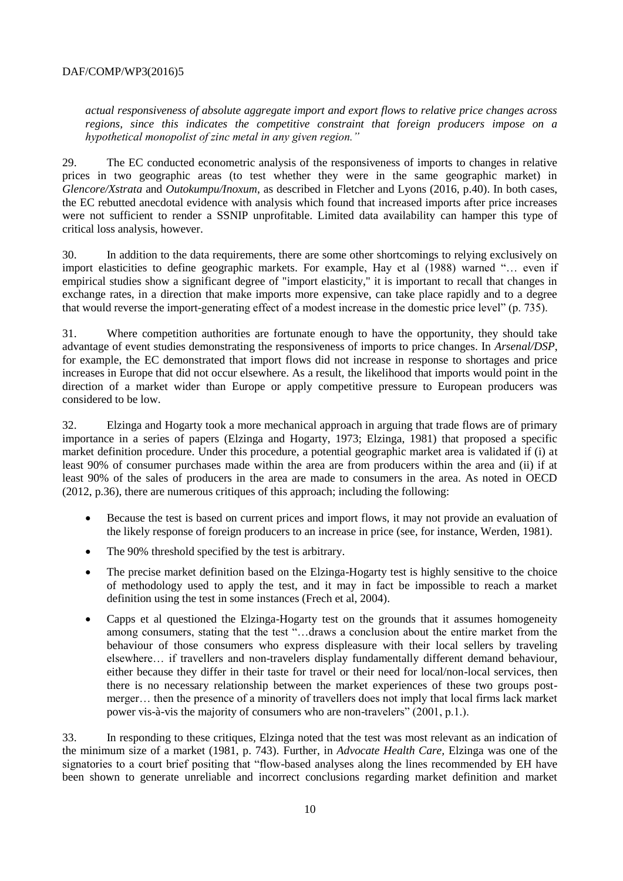*actual responsiveness of absolute aggregate import and export flows to relative price changes across regions, since this indicates the competitive constraint that foreign producers impose on a hypothetical monopolist of zinc metal in any given region."* 

29. The EC conducted econometric analysis of the responsiveness of imports to changes in relative prices in two geographic areas (to test whether they were in the same geographic market) in *Glencore/Xstrata* and *Outokumpu/Inoxum*, as described in Fletcher and Lyons (2016, p.40). In both cases, the EC rebutted anecdotal evidence with analysis which found that increased imports after price increases were not sufficient to render a SSNIP unprofitable. Limited data availability can hamper this type of critical loss analysis, however.

30. In addition to the data requirements, there are some other shortcomings to relying exclusively on import elasticities to define geographic markets. For example, Hay et al (1988) warned "… even if empirical studies show a significant degree of "import elasticity," it is important to recall that changes in exchange rates, in a direction that make imports more expensive, can take place rapidly and to a degree that would reverse the import-generating effect of a modest increase in the domestic price level" (p. 735).

31. Where competition authorities are fortunate enough to have the opportunity, they should take advantage of event studies demonstrating the responsiveness of imports to price changes. In *Arsenal/DSP*, for example, the EC demonstrated that import flows did not increase in response to shortages and price increases in Europe that did not occur elsewhere. As a result, the likelihood that imports would point in the direction of a market wider than Europe or apply competitive pressure to European producers was considered to be low.

32. Elzinga and Hogarty took a more mechanical approach in arguing that trade flows are of primary importance in a series of papers (Elzinga and Hogarty, 1973; Elzinga, 1981) that proposed a specific market definition procedure. Under this procedure, a potential geographic market area is validated if (i) at least 90% of consumer purchases made within the area are from producers within the area and (ii) if at least 90% of the sales of producers in the area are made to consumers in the area. As noted in OECD (2012, p.36), there are numerous critiques of this approach; including the following:

- Because the test is based on current prices and import flows, it may not provide an evaluation of the likely response of foreign producers to an increase in price (see, for instance, Werden, 1981).
- The 90% threshold specified by the test is arbitrary.
- The precise market definition based on the Elzinga-Hogarty test is highly sensitive to the choice of methodology used to apply the test, and it may in fact be impossible to reach a market definition using the test in some instances (Frech et al, 2004).
- Capps et al questioned the Elzinga-Hogarty test on the grounds that it assumes homogeneity among consumers, stating that the test "…draws a conclusion about the entire market from the behaviour of those consumers who express displeasure with their local sellers by traveling elsewhere… if travellers and non-travelers display fundamentally different demand behaviour, either because they differ in their taste for travel or their need for local/non-local services, then there is no necessary relationship between the market experiences of these two groups postmerger… then the presence of a minority of travellers does not imply that local firms lack market power vis-à-vis the majority of consumers who are non-travelers" (2001, p.1.).

33. In responding to these critiques, Elzinga noted that the test was most relevant as an indication of the minimum size of a market (1981, p. 743). Further, in *Advocate Health Care,* Elzinga was one of the signatories to a court brief positing that "flow-based analyses along the lines recommended by EH have been shown to generate unreliable and incorrect conclusions regarding market definition and market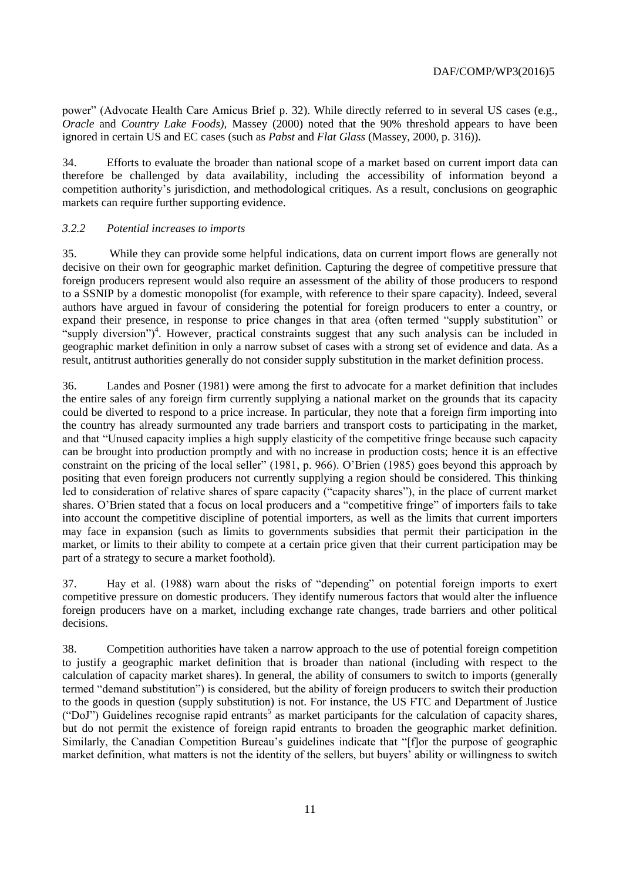power" (Advocate Health Care Amicus Brief p. 32). While directly referred to in several US cases (e.g., *Oracle* and *Country Lake Foods*). Massey (2000) noted that the 90% threshold appears to have been ignored in certain US and EC cases (such as *Pabst* and *Flat Glass* (Massey, 2000, p. 316)).

34. Efforts to evaluate the broader than national scope of a market based on current import data can therefore be challenged by data availability, including the accessibility of information beyond a competition authority's jurisdiction, and methodological critiques. As a result, conclusions on geographic markets can require further supporting evidence.

#### *3.2.2 Potential increases to imports*

35. While they can provide some helpful indications, data on current import flows are generally not decisive on their own for geographic market definition. Capturing the degree of competitive pressure that foreign producers represent would also require an assessment of the ability of those producers to respond to a SSNIP by a domestic monopolist (for example, with reference to their spare capacity). Indeed, several authors have argued in favour of considering the potential for foreign producers to enter a country, or expand their presence, in response to price changes in that area (often termed "supply substitution" or "supply diversion")<sup>4</sup>. However, practical constraints suggest that any such analysis can be included in geographic market definition in only a narrow subset of cases with a strong set of evidence and data. As a result, antitrust authorities generally do not consider supply substitution in the market definition process.

36. Landes and Posner (1981) were among the first to advocate for a market definition that includes the entire sales of any foreign firm currently supplying a national market on the grounds that its capacity could be diverted to respond to a price increase. In particular, they note that a foreign firm importing into the country has already surmounted any trade barriers and transport costs to participating in the market, and that "Unused capacity implies a high supply elasticity of the competitive fringe because such capacity can be brought into production promptly and with no increase in production costs; hence it is an effective constraint on the pricing of the local seller" (1981, p. 966). O'Brien (1985) goes beyond this approach by positing that even foreign producers not currently supplying a region should be considered. This thinking led to consideration of relative shares of spare capacity ("capacity shares"), in the place of current market shares. O'Brien stated that a focus on local producers and a "competitive fringe" of importers fails to take into account the competitive discipline of potential importers, as well as the limits that current importers may face in expansion (such as limits to governments subsidies that permit their participation in the market, or limits to their ability to compete at a certain price given that their current participation may be part of a strategy to secure a market foothold).

37. Hay et al. (1988) warn about the risks of "depending" on potential foreign imports to exert competitive pressure on domestic producers. They identify numerous factors that would alter the influence foreign producers have on a market, including exchange rate changes, trade barriers and other political decisions.

38. Competition authorities have taken a narrow approach to the use of potential foreign competition to justify a geographic market definition that is broader than national (including with respect to the calculation of capacity market shares). In general, the ability of consumers to switch to imports (generally termed "demand substitution") is considered, but the ability of foreign producers to switch their production to the goods in question (supply substitution) is not. For instance, the US FTC and Department of Justice ("DoJ") Guidelines recognise rapid entrants<sup>5</sup> as market participants for the calculation of capacity shares, but do not permit the existence of foreign rapid entrants to broaden the geographic market definition. Similarly, the Canadian Competition Bureau's guidelines indicate that "[f]or the purpose of geographic market definition, what matters is not the identity of the sellers, but buyers' ability or willingness to switch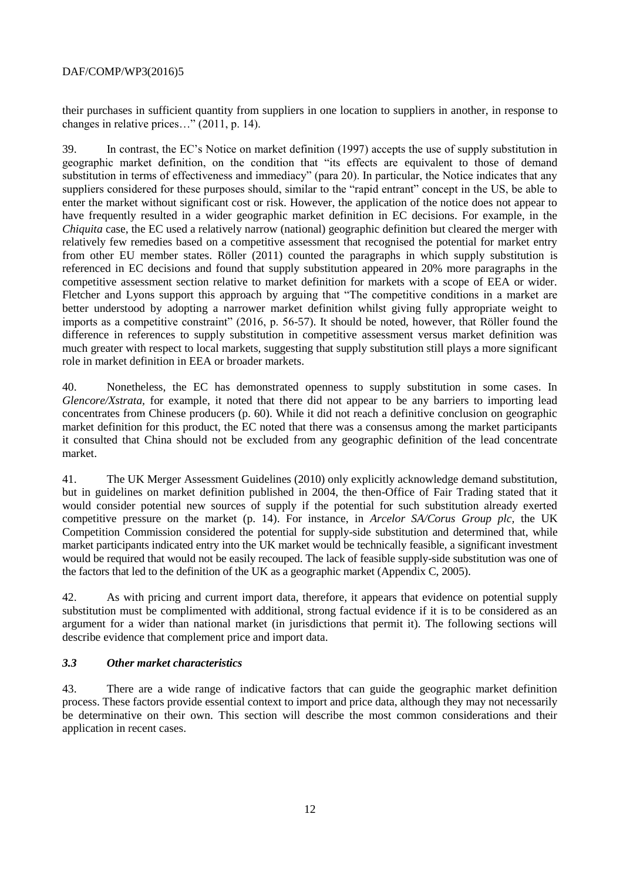their purchases in sufficient quantity from suppliers in one location to suppliers in another, in response to changes in relative prices…" (2011, p. 14).

39. In contrast, the EC's Notice on market definition (1997) accepts the use of supply substitution in geographic market definition, on the condition that "its effects are equivalent to those of demand substitution in terms of effectiveness and immediacy" (para 20). In particular, the Notice indicates that any suppliers considered for these purposes should, similar to the "rapid entrant" concept in the US, be able to enter the market without significant cost or risk. However, the application of the notice does not appear to have frequently resulted in a wider geographic market definition in EC decisions. For example, in the *Chiquita* case, the EC used a relatively narrow (national) geographic definition but cleared the merger with relatively few remedies based on a competitive assessment that recognised the potential for market entry from other EU member states. Röller (2011) counted the paragraphs in which supply substitution is referenced in EC decisions and found that supply substitution appeared in 20% more paragraphs in the competitive assessment section relative to market definition for markets with a scope of EEA or wider. Fletcher and Lyons support this approach by arguing that "The competitive conditions in a market are better understood by adopting a narrower market definition whilst giving fully appropriate weight to imports as a competitive constraint" (2016, p. 56-57). It should be noted, however, that Röller found the difference in references to supply substitution in competitive assessment versus market definition was much greater with respect to local markets, suggesting that supply substitution still plays a more significant role in market definition in EEA or broader markets.

40. Nonetheless, the EC has demonstrated openness to supply substitution in some cases. In *Glencore/Xstrata,* for example, it noted that there did not appear to be any barriers to importing lead concentrates from Chinese producers (p. 60). While it did not reach a definitive conclusion on geographic market definition for this product, the EC noted that there was a consensus among the market participants it consulted that China should not be excluded from any geographic definition of the lead concentrate market.

41. The UK Merger Assessment Guidelines (2010) only explicitly acknowledge demand substitution, but in guidelines on market definition published in 2004, the then-Office of Fair Trading stated that it would consider potential new sources of supply if the potential for such substitution already exerted competitive pressure on the market (p. 14). For instance, in *Arcelor SA/Corus Group plc,* the UK Competition Commission considered the potential for supply-side substitution and determined that, while market participants indicated entry into the UK market would be technically feasible, a significant investment would be required that would not be easily recouped. The lack of feasible supply-side substitution was one of the factors that led to the definition of the UK as a geographic market (Appendix C, 2005).

42. As with pricing and current import data, therefore, it appears that evidence on potential supply substitution must be complimented with additional, strong factual evidence if it is to be considered as an argument for a wider than national market (in jurisdictions that permit it). The following sections will describe evidence that complement price and import data.

## <span id="page-11-0"></span>*3.3 Other market characteristics*

43. There are a wide range of indicative factors that can guide the geographic market definition process. These factors provide essential context to import and price data, although they may not necessarily be determinative on their own. This section will describe the most common considerations and their application in recent cases.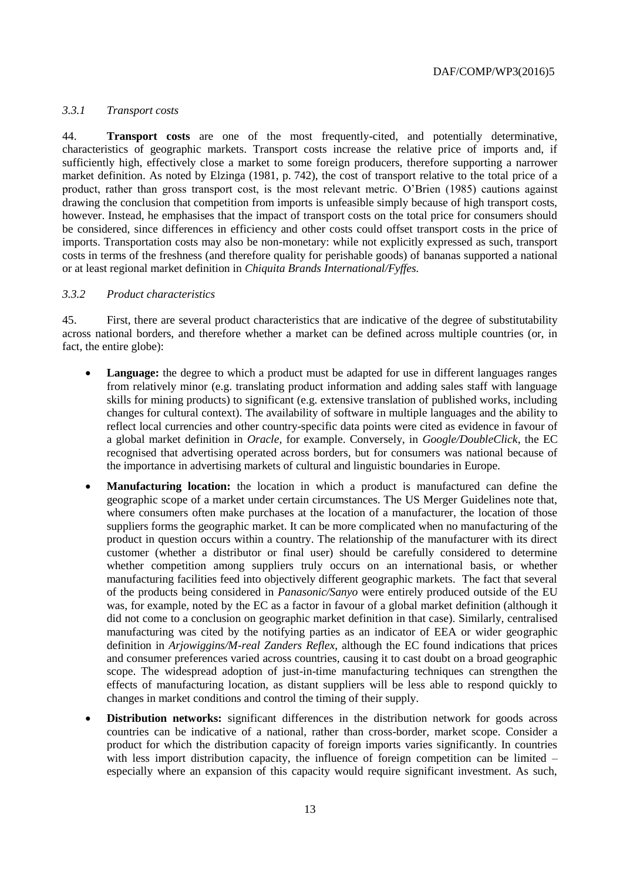#### *3.3.1 Transport costs*

44. **Transport costs** are one of the most frequently-cited, and potentially determinative, characteristics of geographic markets. Transport costs increase the relative price of imports and, if sufficiently high, effectively close a market to some foreign producers, therefore supporting a narrower market definition. As noted by Elzinga (1981, p. 742), the cost of transport relative to the total price of a product, rather than gross transport cost, is the most relevant metric. O'Brien (1985) cautions against drawing the conclusion that competition from imports is unfeasible simply because of high transport costs, however. Instead, he emphasises that the impact of transport costs on the total price for consumers should be considered, since differences in efficiency and other costs could offset transport costs in the price of imports. Transportation costs may also be non-monetary: while not explicitly expressed as such, transport costs in terms of the freshness (and therefore quality for perishable goods) of bananas supported a national or at least regional market definition in *Chiquita Brands International/Fyffes.*

### *3.3.2 Product characteristics*

45. First, there are several product characteristics that are indicative of the degree of substitutability across national borders, and therefore whether a market can be defined across multiple countries (or, in fact, the entire globe):

- **Language:** the degree to which a product must be adapted for use in different languages ranges from relatively minor (e.g. translating product information and adding sales staff with language skills for mining products) to significant (e.g. extensive translation of published works, including changes for cultural context). The availability of software in multiple languages and the ability to reflect local currencies and other country-specific data points were cited as evidence in favour of a global market definition in *Oracle,* for example. Conversely, in *Google/DoubleClick*, the EC recognised that advertising operated across borders, but for consumers was national because of the importance in advertising markets of cultural and linguistic boundaries in Europe.
- **Manufacturing location:** the location in which a product is manufactured can define the geographic scope of a market under certain circumstances. The US Merger Guidelines note that, where consumers often make purchases at the location of a manufacturer, the location of those suppliers forms the geographic market. It can be more complicated when no manufacturing of the product in question occurs within a country. The relationship of the manufacturer with its direct customer (whether a distributor or final user) should be carefully considered to determine whether competition among suppliers truly occurs on an international basis, or whether manufacturing facilities feed into objectively different geographic markets. The fact that several of the products being considered in *Panasonic/Sanyo* were entirely produced outside of the EU was, for example, noted by the EC as a factor in favour of a global market definition (although it did not come to a conclusion on geographic market definition in that case). Similarly, centralised manufacturing was cited by the notifying parties as an indicator of EEA or wider geographic definition in *Arjowiggins/M-real Zanders Reflex*, although the EC found indications that prices and consumer preferences varied across countries, causing it to cast doubt on a broad geographic scope. The widespread adoption of just-in-time manufacturing techniques can strengthen the effects of manufacturing location, as distant suppliers will be less able to respond quickly to changes in market conditions and control the timing of their supply.
- Distribution networks: significant differences in the distribution network for goods across countries can be indicative of a national, rather than cross-border, market scope. Consider a product for which the distribution capacity of foreign imports varies significantly. In countries with less import distribution capacity, the influence of foreign competition can be limited – especially where an expansion of this capacity would require significant investment. As such,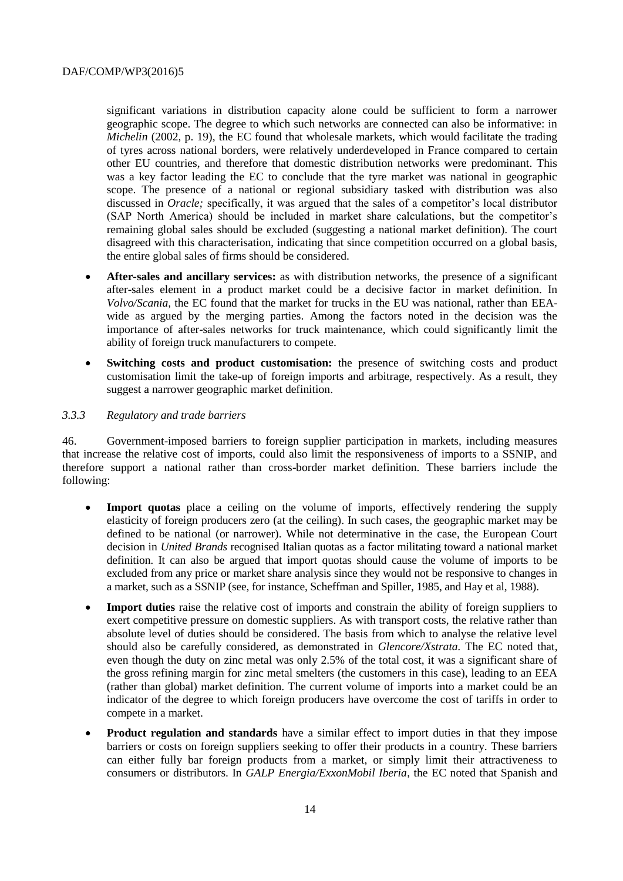significant variations in distribution capacity alone could be sufficient to form a narrower geographic scope. The degree to which such networks are connected can also be informative: in *Michelin* (2002, p. 19)*,* the EC found that wholesale markets, which would facilitate the trading of tyres across national borders, were relatively underdeveloped in France compared to certain other EU countries, and therefore that domestic distribution networks were predominant. This was a key factor leading the EC to conclude that the tyre market was national in geographic scope. The presence of a national or regional subsidiary tasked with distribution was also discussed in *Oracle;* specifically, it was argued that the sales of a competitor's local distributor (SAP North America) should be included in market share calculations, but the competitor's remaining global sales should be excluded (suggesting a national market definition). The court disagreed with this characterisation, indicating that since competition occurred on a global basis, the entire global sales of firms should be considered.

- **After-sales and ancillary services:** as with distribution networks, the presence of a significant after-sales element in a product market could be a decisive factor in market definition. In *Volvo/Scania,* the EC found that the market for trucks in the EU was national, rather than EEAwide as argued by the merging parties. Among the factors noted in the decision was the importance of after-sales networks for truck maintenance, which could significantly limit the ability of foreign truck manufacturers to compete.
- **Switching costs and product customisation:** the presence of switching costs and product customisation limit the take-up of foreign imports and arbitrage, respectively. As a result, they suggest a narrower geographic market definition.

#### *3.3.3 Regulatory and trade barriers*

46. Government-imposed barriers to foreign supplier participation in markets, including measures that increase the relative cost of imports, could also limit the responsiveness of imports to a SSNIP, and therefore support a national rather than cross-border market definition. These barriers include the following:

- **Import quotas** place a ceiling on the volume of imports, effectively rendering the supply elasticity of foreign producers zero (at the ceiling). In such cases, the geographic market may be defined to be national (or narrower). While not determinative in the case, the European Court decision in *United Brands* recognised Italian quotas as a factor militating toward a national market definition. It can also be argued that import quotas should cause the volume of imports to be excluded from any price or market share analysis since they would not be responsive to changes in a market, such as a SSNIP (see, for instance, Scheffman and Spiller, 1985, and Hay et al, 1988).
- **Import duties** raise the relative cost of imports and constrain the ability of foreign suppliers to exert competitive pressure on domestic suppliers. As with transport costs, the relative rather than absolute level of duties should be considered. The basis from which to analyse the relative level should also be carefully considered, as demonstrated in *Glencore/Xstrata.* The EC noted that, even though the duty on zinc metal was only 2.5% of the total cost, it was a significant share of the gross refining margin for zinc metal smelters (the customers in this case), leading to an EEA (rather than global) market definition. The current volume of imports into a market could be an indicator of the degree to which foreign producers have overcome the cost of tariffs in order to compete in a market.
- **Product regulation and standards** have a similar effect to import duties in that they impose barriers or costs on foreign suppliers seeking to offer their products in a country. These barriers can either fully bar foreign products from a market, or simply limit their attractiveness to consumers or distributors. In *GALP Energia/ExxonMobil Iberia*, the EC noted that Spanish and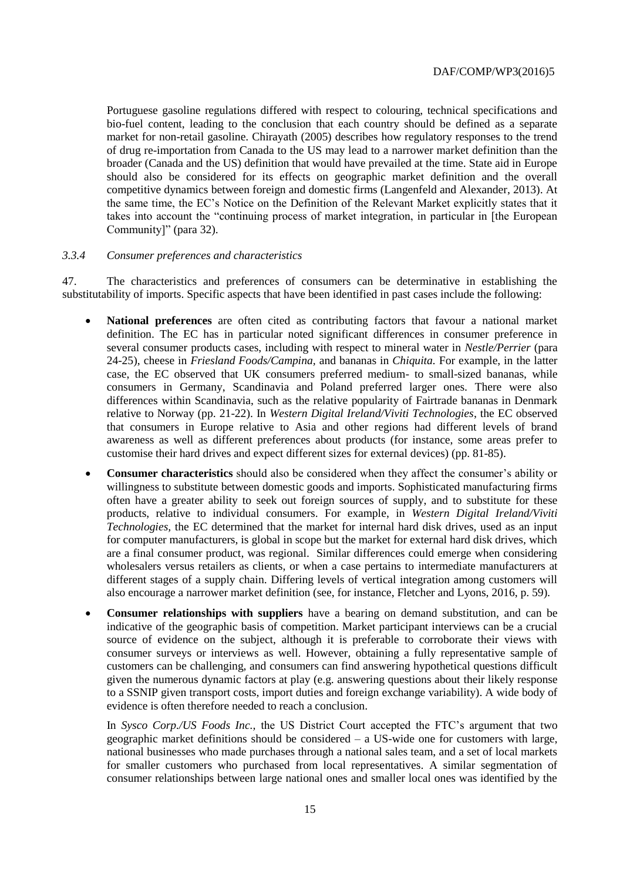Portuguese gasoline regulations differed with respect to colouring, technical specifications and bio-fuel content, leading to the conclusion that each country should be defined as a separate market for non-retail gasoline. Chirayath (2005) describes how regulatory responses to the trend of drug re-importation from Canada to the US may lead to a narrower market definition than the broader (Canada and the US) definition that would have prevailed at the time. State aid in Europe should also be considered for its effects on geographic market definition and the overall competitive dynamics between foreign and domestic firms (Langenfeld and Alexander, 2013). At the same time, the EC's Notice on the Definition of the Relevant Market explicitly states that it takes into account the "continuing process of market integration, in particular in [the European Community]" (para 32).

#### *3.3.4 Consumer preferences and characteristics*

47. The characteristics and preferences of consumers can be determinative in establishing the substitutability of imports. Specific aspects that have been identified in past cases include the following:

- **National preferences** are often cited as contributing factors that favour a national market definition. The EC has in particular noted significant differences in consumer preference in several consumer products cases, including with respect to mineral water in *Nestle/Perrier* (para 24-25), cheese in *Friesland Foods/Campina,* and bananas in *Chiquita.* For example, in the latter case, the EC observed that UK consumers preferred medium- to small-sized bananas, while consumers in Germany, Scandinavia and Poland preferred larger ones. There were also differences within Scandinavia, such as the relative popularity of Fairtrade bananas in Denmark relative to Norway (pp. 21-22). In *Western Digital Ireland/Viviti Technologies*, the EC observed that consumers in Europe relative to Asia and other regions had different levels of brand awareness as well as different preferences about products (for instance, some areas prefer to customise their hard drives and expect different sizes for external devices) (pp. 81-85).
- **Consumer characteristics** should also be considered when they affect the consumer's ability or willingness to substitute between domestic goods and imports. Sophisticated manufacturing firms often have a greater ability to seek out foreign sources of supply, and to substitute for these products, relative to individual consumers. For example, in *Western Digital Ireland/Viviti Technologies,* the EC determined that the market for internal hard disk drives, used as an input for computer manufacturers, is global in scope but the market for external hard disk drives, which are a final consumer product, was regional. Similar differences could emerge when considering wholesalers versus retailers as clients, or when a case pertains to intermediate manufacturers at different stages of a supply chain. Differing levels of vertical integration among customers will also encourage a narrower market definition (see, for instance, Fletcher and Lyons, 2016, p. 59).
- **Consumer relationships with suppliers** have a bearing on demand substitution, and can be indicative of the geographic basis of competition. Market participant interviews can be a crucial source of evidence on the subject, although it is preferable to corroborate their views with consumer surveys or interviews as well. However, obtaining a fully representative sample of customers can be challenging, and consumers can find answering hypothetical questions difficult given the numerous dynamic factors at play (e.g. answering questions about their likely response to a SSNIP given transport costs, import duties and foreign exchange variability). A wide body of evidence is often therefore needed to reach a conclusion.

In *Sysco Corp./US Foods Inc.,* the US District Court accepted the FTC's argument that two geographic market definitions should be considered  $-$  a US-wide one for customers with large, national businesses who made purchases through a national sales team, and a set of local markets for smaller customers who purchased from local representatives. A similar segmentation of consumer relationships between large national ones and smaller local ones was identified by the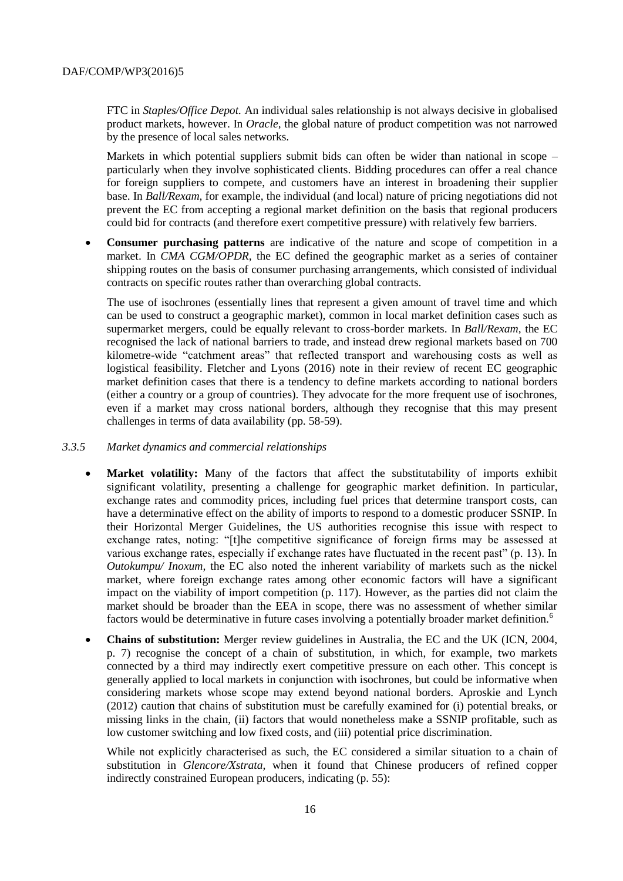FTC in *Staples/Office Depot.* An individual sales relationship is not always decisive in globalised product markets, however. In *Oracle,* the global nature of product competition was not narrowed by the presence of local sales networks.

Markets in which potential suppliers submit bids can often be wider than national in scope  $$ particularly when they involve sophisticated clients. Bidding procedures can offer a real chance for foreign suppliers to compete, and customers have an interest in broadening their supplier base. In *Ball/Rexam,* for example, the individual (and local) nature of pricing negotiations did not prevent the EC from accepting a regional market definition on the basis that regional producers could bid for contracts (and therefore exert competitive pressure) with relatively few barriers.

 **Consumer purchasing patterns** are indicative of the nature and scope of competition in a market. In *CMA CGM/OPDR,* the EC defined the geographic market as a series of container shipping routes on the basis of consumer purchasing arrangements, which consisted of individual contracts on specific routes rather than overarching global contracts.

The use of isochrones (essentially lines that represent a given amount of travel time and which can be used to construct a geographic market), common in local market definition cases such as supermarket mergers, could be equally relevant to cross-border markets. In *Ball/Rexam,* the EC recognised the lack of national barriers to trade, and instead drew regional markets based on 700 kilometre-wide "catchment areas" that reflected transport and warehousing costs as well as logistical feasibility. Fletcher and Lyons (2016) note in their review of recent EC geographic market definition cases that there is a tendency to define markets according to national borders (either a country or a group of countries). They advocate for the more frequent use of isochrones, even if a market may cross national borders, although they recognise that this may present challenges in terms of data availability (pp. 58-59).

#### *3.3.5 Market dynamics and commercial relationships*

- **Market volatility:** Many of the factors that affect the substitutability of imports exhibit significant volatility, presenting a challenge for geographic market definition. In particular, exchange rates and commodity prices, including fuel prices that determine transport costs, can have a determinative effect on the ability of imports to respond to a domestic producer SSNIP. In their Horizontal Merger Guidelines, the US authorities recognise this issue with respect to exchange rates, noting: "[t]he competitive significance of foreign firms may be assessed at various exchange rates, especially if exchange rates have fluctuated in the recent past" (p. 13). In *Outokumpu/ Inoxum,* the EC also noted the inherent variability of markets such as the nickel market, where foreign exchange rates among other economic factors will have a significant impact on the viability of import competition (p. 117). However, as the parties did not claim the market should be broader than the EEA in scope, there was no assessment of whether similar factors would be determinative in future cases involving a potentially broader market definition.<sup>6</sup>
- **Chains of substitution:** Merger review guidelines in Australia, the EC and the UK (ICN, 2004, p. 7) recognise the concept of a chain of substitution, in which, for example, two markets connected by a third may indirectly exert competitive pressure on each other. This concept is generally applied to local markets in conjunction with isochrones, but could be informative when considering markets whose scope may extend beyond national borders. Aproskie and Lynch (2012) caution that chains of substitution must be carefully examined for (i) potential breaks, or missing links in the chain, (ii) factors that would nonetheless make a SSNIP profitable, such as low customer switching and low fixed costs, and (iii) potential price discrimination.

While not explicitly characterised as such, the EC considered a similar situation to a chain of substitution in *Glencore/Xstrata,* when it found that Chinese producers of refined copper indirectly constrained European producers, indicating (p. 55):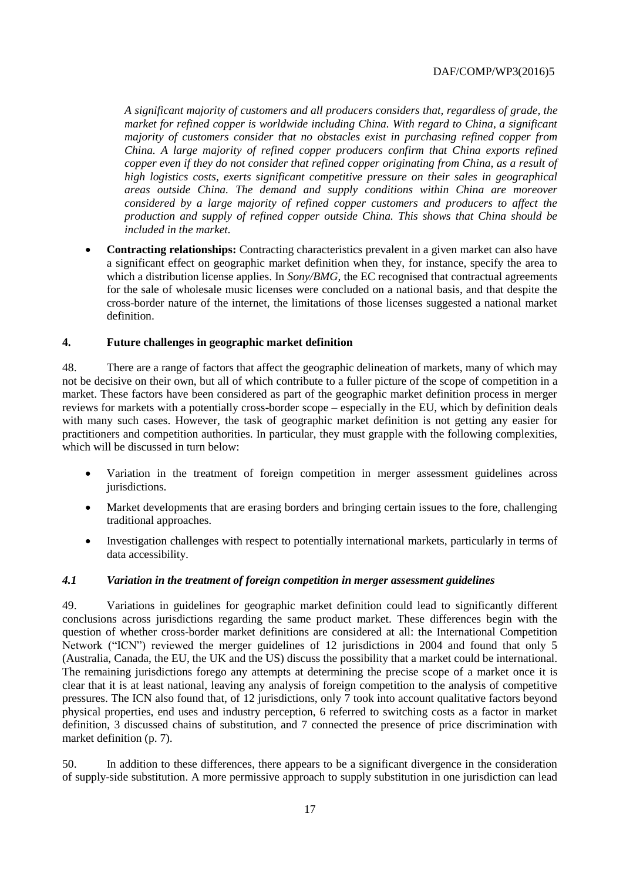*A significant majority of customers and all producers considers that, regardless of grade, the market for refined copper is worldwide including China. With regard to China, a significant majority of customers consider that no obstacles exist in purchasing refined copper from China. A large majority of refined copper producers confirm that China exports refined copper even if they do not consider that refined copper originating from China, as a result of high logistics costs, exerts significant competitive pressure on their sales in geographical areas outside China. The demand and supply conditions within China are moreover considered by a large majority of refined copper customers and producers to affect the production and supply of refined copper outside China. This shows that China should be included in the market.*

 **Contracting relationships:** Contracting characteristics prevalent in a given market can also have a significant effect on geographic market definition when they, for instance, specify the area to which a distribution license applies. In *Sony/BMG*, the EC recognised that contractual agreements for the sale of wholesale music licenses were concluded on a national basis, and that despite the cross-border nature of the internet, the limitations of those licenses suggested a national market definition.

### <span id="page-16-0"></span>**4. Future challenges in geographic market definition**

48. There are a range of factors that affect the geographic delineation of markets, many of which may not be decisive on their own, but all of which contribute to a fuller picture of the scope of competition in a market. These factors have been considered as part of the geographic market definition process in merger reviews for markets with a potentially cross-border scope – especially in the EU, which by definition deals with many such cases. However, the task of geographic market definition is not getting any easier for practitioners and competition authorities. In particular, they must grapple with the following complexities, which will be discussed in turn below:

- Variation in the treatment of foreign competition in merger assessment guidelines across jurisdictions.
- Market developments that are erasing borders and bringing certain issues to the fore, challenging traditional approaches.
- Investigation challenges with respect to potentially international markets, particularly in terms of data accessibility.

### <span id="page-16-1"></span>*4.1 Variation in the treatment of foreign competition in merger assessment guidelines*

49. Variations in guidelines for geographic market definition could lead to significantly different conclusions across jurisdictions regarding the same product market. These differences begin with the question of whether cross-border market definitions are considered at all: the International Competition Network ("ICN") reviewed the merger guidelines of 12 jurisdictions in 2004 and found that only 5 (Australia, Canada, the EU, the UK and the US) discuss the possibility that a market could be international. The remaining jurisdictions forego any attempts at determining the precise scope of a market once it is clear that it is at least national, leaving any analysis of foreign competition to the analysis of competitive pressures. The ICN also found that, of 12 jurisdictions, only 7 took into account qualitative factors beyond physical properties, end uses and industry perception, 6 referred to switching costs as a factor in market definition, 3 discussed chains of substitution, and 7 connected the presence of price discrimination with market definition (p. 7).

50. In addition to these differences, there appears to be a significant divergence in the consideration of supply-side substitution. A more permissive approach to supply substitution in one jurisdiction can lead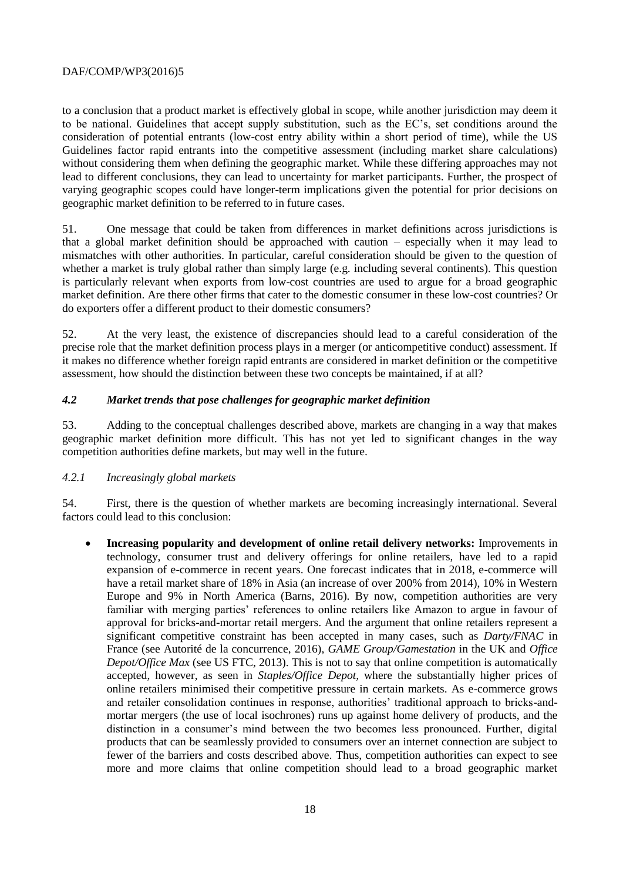to a conclusion that a product market is effectively global in scope, while another jurisdiction may deem it to be national. Guidelines that accept supply substitution, such as the EC's, set conditions around the consideration of potential entrants (low-cost entry ability within a short period of time), while the US Guidelines factor rapid entrants into the competitive assessment (including market share calculations) without considering them when defining the geographic market. While these differing approaches may not lead to different conclusions, they can lead to uncertainty for market participants. Further, the prospect of varying geographic scopes could have longer-term implications given the potential for prior decisions on geographic market definition to be referred to in future cases.

51. One message that could be taken from differences in market definitions across jurisdictions is that a global market definition should be approached with caution – especially when it may lead to mismatches with other authorities. In particular, careful consideration should be given to the question of whether a market is truly global rather than simply large (e.g. including several continents). This question is particularly relevant when exports from low-cost countries are used to argue for a broad geographic market definition. Are there other firms that cater to the domestic consumer in these low-cost countries? Or do exporters offer a different product to their domestic consumers?

52. At the very least, the existence of discrepancies should lead to a careful consideration of the precise role that the market definition process plays in a merger (or anticompetitive conduct) assessment. If it makes no difference whether foreign rapid entrants are considered in market definition or the competitive assessment, how should the distinction between these two concepts be maintained, if at all?

## <span id="page-17-0"></span>*4.2 Market trends that pose challenges for geographic market definition*

53. Adding to the conceptual challenges described above, markets are changing in a way that makes geographic market definition more difficult. This has not yet led to significant changes in the way competition authorities define markets, but may well in the future.

### *4.2.1 Increasingly global markets*

54. First, there is the question of whether markets are becoming increasingly international. Several factors could lead to this conclusion:

 **Increasing popularity and development of online retail delivery networks:** Improvements in technology, consumer trust and delivery offerings for online retailers, have led to a rapid expansion of e-commerce in recent years. One forecast indicates that in 2018, e-commerce will have a retail market share of 18% in Asia (an increase of over 200% from 2014), 10% in Western Europe and 9% in North America (Barns, 2016). By now, competition authorities are very familiar with merging parties' references to online retailers like Amazon to argue in favour of approval for bricks-and-mortar retail mergers. And the argument that online retailers represent a significant competitive constraint has been accepted in many cases, such as *Darty/FNAC* in France (see Autorité de la concurrence, 2016), *GAME Group/Gamestation* in the UK and *Office Depot/Office Max* (see US FTC, 2013). This is not to say that online competition is automatically accepted, however, as seen in *Staples/Office Depot,* where the substantially higher prices of online retailers minimised their competitive pressure in certain markets. As e-commerce grows and retailer consolidation continues in response, authorities' traditional approach to bricks-andmortar mergers (the use of local isochrones) runs up against home delivery of products, and the distinction in a consumer's mind between the two becomes less pronounced. Further, digital products that can be seamlessly provided to consumers over an internet connection are subject to fewer of the barriers and costs described above. Thus, competition authorities can expect to see more and more claims that online competition should lead to a broad geographic market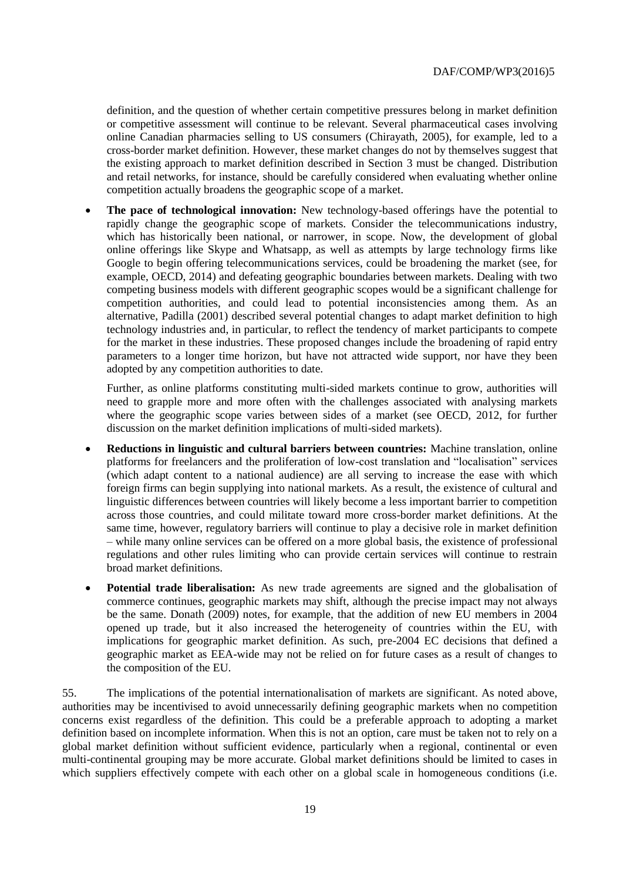definition, and the question of whether certain competitive pressures belong in market definition or competitive assessment will continue to be relevant. Several pharmaceutical cases involving online Canadian pharmacies selling to US consumers (Chirayath, 2005), for example, led to a cross-border market definition. However, these market changes do not by themselves suggest that the existing approach to market definition described in Section 3 must be changed. Distribution and retail networks, for instance, should be carefully considered when evaluating whether online competition actually broadens the geographic scope of a market.

 **The pace of technological innovation:** New technology-based offerings have the potential to rapidly change the geographic scope of markets. Consider the telecommunications industry, which has historically been national, or narrower, in scope. Now, the development of global online offerings like Skype and Whatsapp, as well as attempts by large technology firms like Google to begin offering telecommunications services, could be broadening the market (see, for example, OECD, 2014) and defeating geographic boundaries between markets. Dealing with two competing business models with different geographic scopes would be a significant challenge for competition authorities, and could lead to potential inconsistencies among them. As an alternative, Padilla (2001) described several potential changes to adapt market definition to high technology industries and, in particular, to reflect the tendency of market participants to compete for the market in these industries. These proposed changes include the broadening of rapid entry parameters to a longer time horizon, but have not attracted wide support, nor have they been adopted by any competition authorities to date.

Further, as online platforms constituting multi-sided markets continue to grow, authorities will need to grapple more and more often with the challenges associated with analysing markets where the geographic scope varies between sides of a market (see OECD, 2012, for further discussion on the market definition implications of multi-sided markets).

- **Reductions in linguistic and cultural barriers between countries:** Machine translation, online platforms for freelancers and the proliferation of low-cost translation and "localisation" services (which adapt content to a national audience) are all serving to increase the ease with which foreign firms can begin supplying into national markets. As a result, the existence of cultural and linguistic differences between countries will likely become a less important barrier to competition across those countries, and could militate toward more cross-border market definitions. At the same time, however, regulatory barriers will continue to play a decisive role in market definition – while many online services can be offered on a more global basis, the existence of professional regulations and other rules limiting who can provide certain services will continue to restrain broad market definitions.
- **Potential trade liberalisation:** As new trade agreements are signed and the globalisation of commerce continues, geographic markets may shift, although the precise impact may not always be the same. Donath (2009) notes, for example, that the addition of new EU members in 2004 opened up trade, but it also increased the heterogeneity of countries within the EU, with implications for geographic market definition. As such, pre-2004 EC decisions that defined a geographic market as EEA-wide may not be relied on for future cases as a result of changes to the composition of the EU.

55. The implications of the potential internationalisation of markets are significant. As noted above, authorities may be incentivised to avoid unnecessarily defining geographic markets when no competition concerns exist regardless of the definition. This could be a preferable approach to adopting a market definition based on incomplete information. When this is not an option, care must be taken not to rely on a global market definition without sufficient evidence, particularly when a regional, continental or even multi-continental grouping may be more accurate. Global market definitions should be limited to cases in which suppliers effectively compete with each other on a global scale in homogeneous conditions (i.e.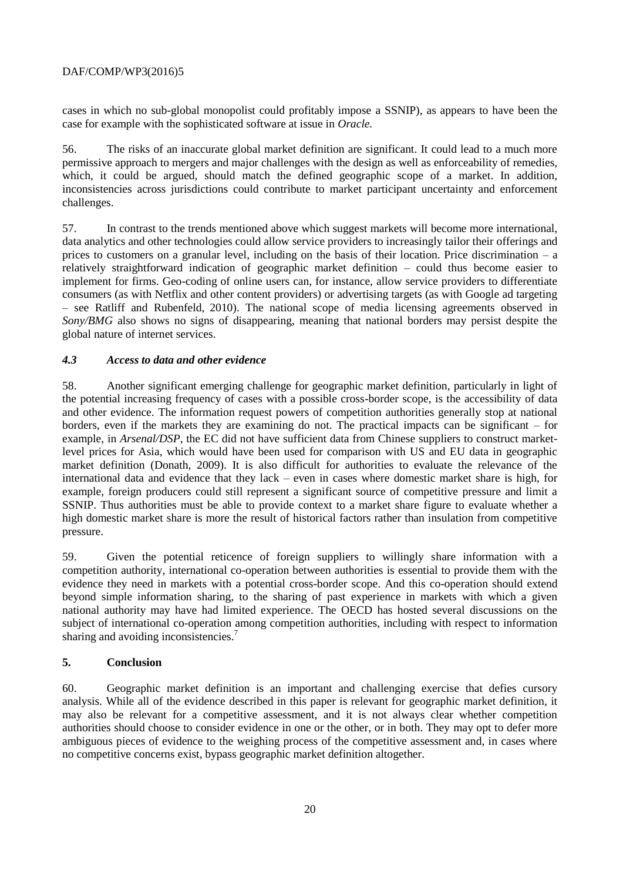cases in which no sub-global monopolist could profitably impose a SSNIP), as appears to have been the case for example with the sophisticated software at issue in *Oracle.* 

56. The risks of an inaccurate global market definition are significant. It could lead to a much more permissive approach to mergers and major challenges with the design as well as enforceability of remedies, which, it could be argued, should match the defined geographic scope of a market. In addition, inconsistencies across jurisdictions could contribute to market participant uncertainty and enforcement challenges.

57. In contrast to the trends mentioned above which suggest markets will become more international, data analytics and other technologies could allow service providers to increasingly tailor their offerings and prices to customers on a granular level, including on the basis of their location. Price discrimination – a relatively straightforward indication of geographic market definition – could thus become easier to implement for firms. Geo-coding of online users can, for instance, allow service providers to differentiate consumers (as with Netflix and other content providers) or advertising targets (as with Google ad targeting – see Ratliff and Rubenfeld, 2010). The national scope of media licensing agreements observed in *Sony/BMG* also shows no signs of disappearing, meaning that national borders may persist despite the global nature of internet services.

## <span id="page-19-0"></span>*4.3 Access to data and other evidence*

58. Another significant emerging challenge for geographic market definition, particularly in light of the potential increasing frequency of cases with a possible cross-border scope, is the accessibility of data and other evidence. The information request powers of competition authorities generally stop at national borders, even if the markets they are examining do not. The practical impacts can be significant – for example, in *Arsenal/DSP*, the EC did not have sufficient data from Chinese suppliers to construct marketlevel prices for Asia, which would have been used for comparison with US and EU data in geographic market definition (Donath, 2009). It is also difficult for authorities to evaluate the relevance of the international data and evidence that they lack – even in cases where domestic market share is high, for example, foreign producers could still represent a significant source of competitive pressure and limit a SSNIP. Thus authorities must be able to provide context to a market share figure to evaluate whether a high domestic market share is more the result of historical factors rather than insulation from competitive pressure.

59. Given the potential reticence of foreign suppliers to willingly share information with a competition authority, international co-operation between authorities is essential to provide them with the evidence they need in markets with a potential cross-border scope. And this co-operation should extend beyond simple information sharing, to the sharing of past experience in markets with which a given national authority may have had limited experience. The OECD has hosted several discussions on the subject of international co-operation among competition authorities, including with respect to information sharing and avoiding inconsistencies.<sup>7</sup>

## <span id="page-19-1"></span>**5. Conclusion**

60. Geographic market definition is an important and challenging exercise that defies cursory analysis. While all of the evidence described in this paper is relevant for geographic market definition, it may also be relevant for a competitive assessment, and it is not always clear whether competition authorities should choose to consider evidence in one or the other, or in both. They may opt to defer more ambiguous pieces of evidence to the weighing process of the competitive assessment and, in cases where no competitive concerns exist, bypass geographic market definition altogether.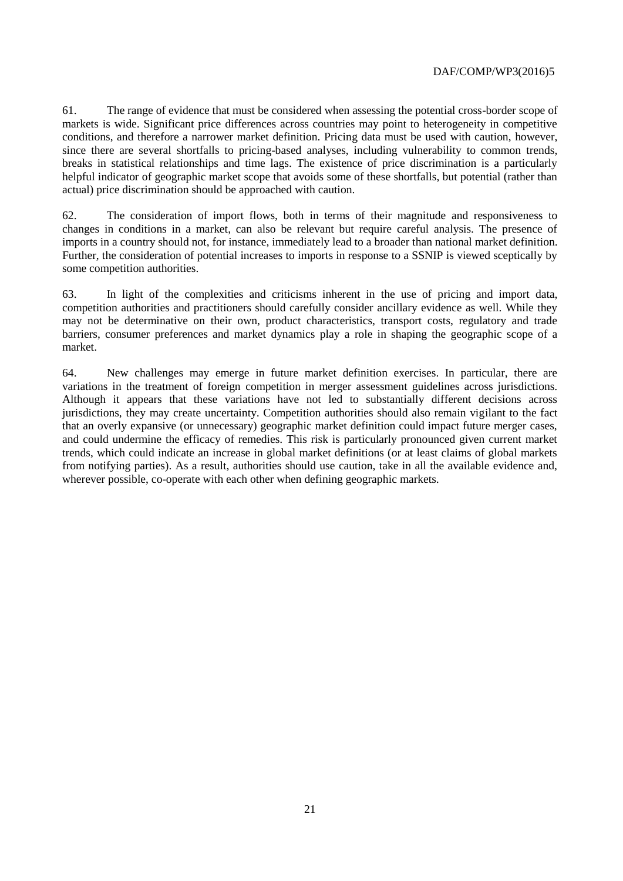61. The range of evidence that must be considered when assessing the potential cross-border scope of markets is wide. Significant price differences across countries may point to heterogeneity in competitive conditions, and therefore a narrower market definition. Pricing data must be used with caution, however, since there are several shortfalls to pricing-based analyses, including vulnerability to common trends, breaks in statistical relationships and time lags. The existence of price discrimination is a particularly helpful indicator of geographic market scope that avoids some of these shortfalls, but potential (rather than actual) price discrimination should be approached with caution.

62. The consideration of import flows, both in terms of their magnitude and responsiveness to changes in conditions in a market, can also be relevant but require careful analysis. The presence of imports in a country should not, for instance, immediately lead to a broader than national market definition. Further, the consideration of potential increases to imports in response to a SSNIP is viewed sceptically by some competition authorities.

63. In light of the complexities and criticisms inherent in the use of pricing and import data, competition authorities and practitioners should carefully consider ancillary evidence as well. While they may not be determinative on their own, product characteristics, transport costs, regulatory and trade barriers, consumer preferences and market dynamics play a role in shaping the geographic scope of a market.

64. New challenges may emerge in future market definition exercises. In particular, there are variations in the treatment of foreign competition in merger assessment guidelines across jurisdictions. Although it appears that these variations have not led to substantially different decisions across jurisdictions, they may create uncertainty. Competition authorities should also remain vigilant to the fact that an overly expansive (or unnecessary) geographic market definition could impact future merger cases, and could undermine the efficacy of remedies. This risk is particularly pronounced given current market trends, which could indicate an increase in global market definitions (or at least claims of global markets from notifying parties). As a result, authorities should use caution, take in all the available evidence and, wherever possible, co-operate with each other when defining geographic markets.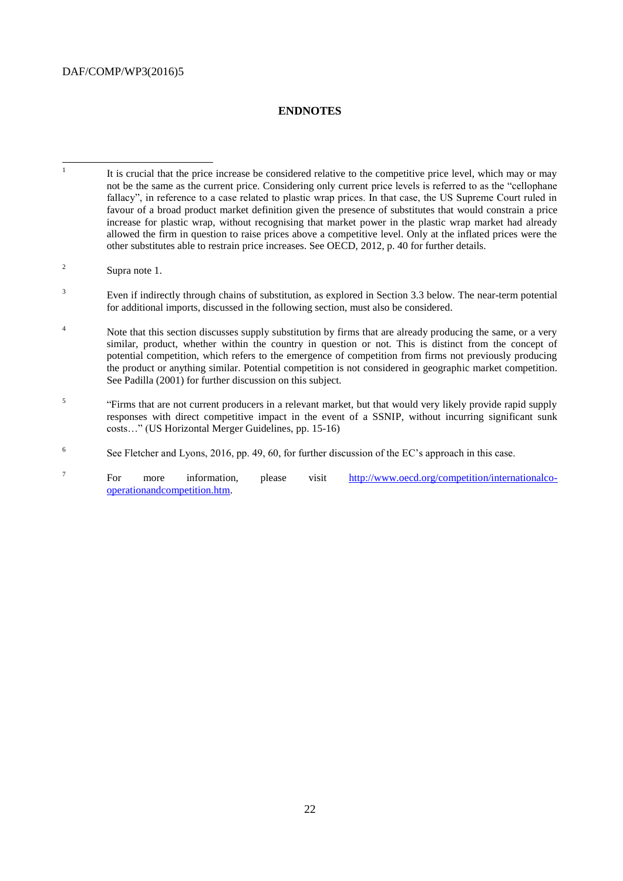## <span id="page-21-0"></span>**ENDNOTES**

|<br>|<br>| It is crucial that the price increase be considered relative to the competitive price level, which may or may not be the same as the current price. Considering only current price levels is referred to as the "cellophane fallacy", in reference to a case related to plastic wrap prices. In that case, the US Supreme Court ruled in favour of a broad product market definition given the presence of substitutes that would constrain a price increase for plastic wrap, without recognising that market power in the plastic wrap market had already allowed the firm in question to raise prices above a competitive level. Only at the inflated prices were the other substitutes able to restrain price increases. See OECD, 2012, p. 40 for further details.

- 2 Supra note 1.
- <sup>3</sup> Even if indirectly through chains of substitution, as explored in Section 3.3 below. The near-term potential for additional imports, discussed in the following section, must also be considered.
- <sup>4</sup> Note that this section discusses supply substitution by firms that are already producing the same, or a very similar, product, whether within the country in question or not. This is distinct from the concept of potential competition, which refers to the emergence of competition from firms not previously producing the product or anything similar. Potential competition is not considered in geographic market competition. See Padilla (2001) for further discussion on this subject.
- 5 "Firms that are not current producers in a relevant market, but that would very likely provide rapid supply responses with direct competitive impact in the event of a SSNIP, without incurring significant sunk costs…" (US Horizontal Merger Guidelines, pp. 15-16)
- 6 See Fletcher and Lyons, 2016, pp. 49, 60, for further discussion of the EC's approach in this case.
- 7 For more information, please visit [http://www.oecd.org/competition/internationalco](http://www.oecd.org/competition/internationalco-operationandcompetition.htm)[operationandcompetition.htm.](http://www.oecd.org/competition/internationalco-operationandcompetition.htm)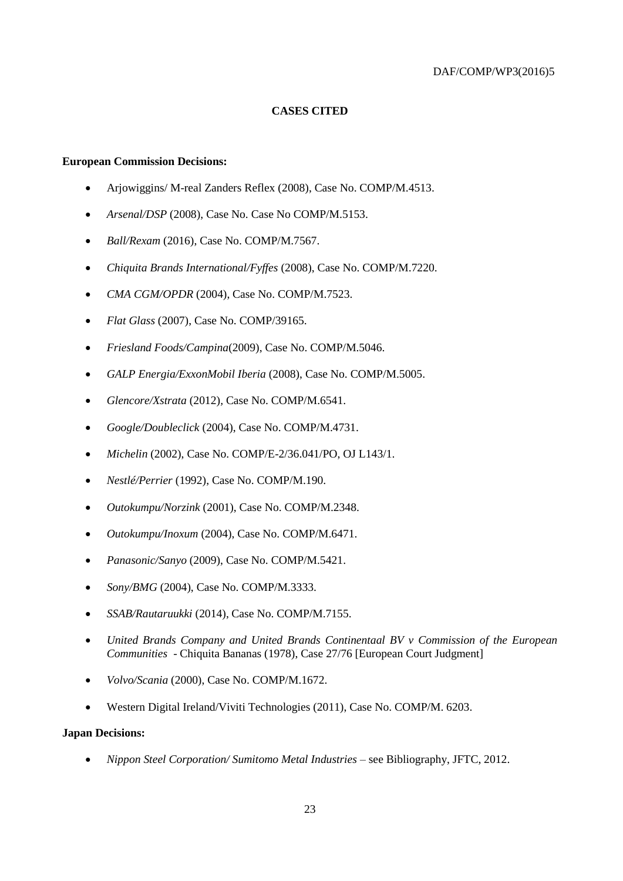## <span id="page-22-0"></span>**CASES CITED**

### <span id="page-22-1"></span>**European Commission Decisions:**

- Arjowiggins/ M-real Zanders Reflex (2008), Case No. COMP/M.4513.
- *Arsenal/DSP* (2008), Case No. Case No COMP/M.5153.
- *Ball/Rexam* (2016), Case No. COMP/M.7567.
- *Chiquita Brands International/Fyffes* (2008), Case No. COMP/M.7220.
- *CMA CGM/OPDR* (2004), Case No. COMP/M.7523.
- *Flat Glass* (2007), Case No. COMP/39165.
- *Friesland Foods/Campina*(2009), Case No. COMP/M.5046.
- *GALP Energia/ExxonMobil Iberia* (2008), Case No. COMP/M.5005.
- *Glencore/Xstrata* (2012)*,* Case No. COMP/M.6541.
- *Google/Doubleclick* (2004), Case No. COMP/M.4731.
- *Michelin* (2002), Case No. COMP/E-2/36.041/PO, OJ L143/1.
- *Nestlé/Perrier* (1992), Case No. COMP/M.190.
- *Outokumpu/Norzink* (2001), Case No. COMP/M.2348.
- *Outokumpu/Inoxum* (2004), Case No. COMP/M.6471.
- *Panasonic/Sanyo* (2009), Case No. COMP/M.5421.
- *Sony/BMG* (2004), Case No. COMP/M.3333.
- *SSAB/Rautaruukki* (2014), Case No. COMP/M.7155.
- *United Brands Company and United Brands Continentaal BV v Commission of the European Communities* - Chiquita Bananas (1978), Case 27/76 [European Court Judgment]
- *Volvo/Scania* (2000), Case No. COMP/M.1672.
- Western Digital Ireland/Viviti Technologies (2011), Case No. COMP/M. 6203.

#### <span id="page-22-2"></span>**Japan Decisions:**

*Nippon Steel Corporation/ Sumitomo Metal Industries* – see Bibliography, JFTC, 2012.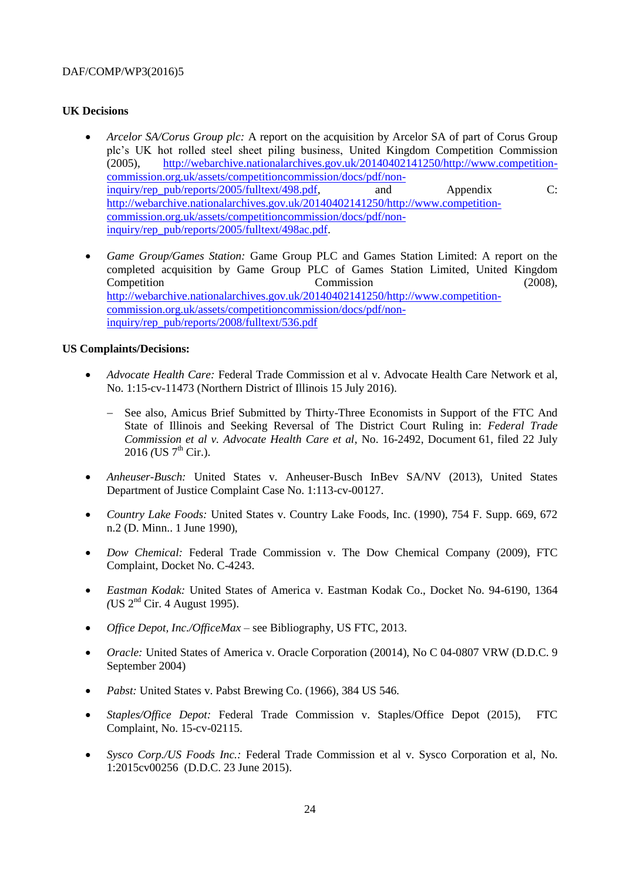## <span id="page-23-0"></span>**UK Decisions**

- *Arcelor SA/Corus Group plc:* A report on the acquisition by Arcelor SA of part of Corus Group plc's UK hot rolled steel sheet piling business, United Kingdom Competition Commission (2005), [http://webarchive.nationalarchives.gov.uk/20140402141250/http://www.competition](http://webarchive.nationalarchives.gov.uk/20140402141250/http:/www.competition-commission.org.uk/assets/competitioncommission/docs/pdf/non-inquiry/rep_pub/reports/2005/fulltext/498.pdf)[commission.org.uk/assets/competitioncommission/docs/pdf/non](http://webarchive.nationalarchives.gov.uk/20140402141250/http:/www.competition-commission.org.uk/assets/competitioncommission/docs/pdf/non-inquiry/rep_pub/reports/2005/fulltext/498.pdf) $inquiry/rep$  pub/reports/2005/fulltext/498.pdf, and Appendix C: [http://webarchive.nationalarchives.gov.uk/20140402141250/http://www.competition](http://webarchive.nationalarchives.gov.uk/20140402141250/http:/www.competition-commission.org.uk/assets/competitioncommission/docs/pdf/non-inquiry/rep_pub/reports/2005/fulltext/498ac.pdf)[commission.org.uk/assets/competitioncommission/docs/pdf/non](http://webarchive.nationalarchives.gov.uk/20140402141250/http:/www.competition-commission.org.uk/assets/competitioncommission/docs/pdf/non-inquiry/rep_pub/reports/2005/fulltext/498ac.pdf)[inquiry/rep\\_pub/reports/2005/fulltext/498ac.pdf.](http://webarchive.nationalarchives.gov.uk/20140402141250/http:/www.competition-commission.org.uk/assets/competitioncommission/docs/pdf/non-inquiry/rep_pub/reports/2005/fulltext/498ac.pdf)
- *Game Group/Games Station:* Game Group PLC and Games Station Limited: A report on the completed acquisition by Game Group PLC of Games Station Limited, United Kingdom Competition Commission Commission (2008), [http://webarchive.nationalarchives.gov.uk/20140402141250/http://www.competition](http://webarchive.nationalarchives.gov.uk/20140402141250/http:/www.competition-commission.org.uk/assets/competitioncommission/docs/pdf/non-inquiry/rep_pub/reports/2008/fulltext/536.pdf)[commission.org.uk/assets/competitioncommission/docs/pdf/non](http://webarchive.nationalarchives.gov.uk/20140402141250/http:/www.competition-commission.org.uk/assets/competitioncommission/docs/pdf/non-inquiry/rep_pub/reports/2008/fulltext/536.pdf)[inquiry/rep\\_pub/reports/2008/fulltext/536.pdf](http://webarchive.nationalarchives.gov.uk/20140402141250/http:/www.competition-commission.org.uk/assets/competitioncommission/docs/pdf/non-inquiry/rep_pub/reports/2008/fulltext/536.pdf)

### <span id="page-23-1"></span>**US Complaints/Decisions:**

- *Advocate Health Care:* Federal Trade Commission et al v. Advocate Health Care Network et al*,*  No. 1:15-cv-11473 (Northern District of Illinois 15 July 2016).
	- See also, Amicus Brief Submitted by Thirty-Three Economists in Support of the FTC And State of Illinois and Seeking Reversal of The District Court Ruling in: *Federal Trade Commission et al v. Advocate Health Care et al*, No. 16-2492, Document 61, filed 22 July 2016 *(US* 7<sup>th</sup> Cir.).
- *Anheuser-Busch:* United States v. Anheuser-Busch InBev SA/NV (2013), United States Department of Justice Complaint Case No. 1:113-cv-00127.
- *Country Lake Foods:* United States v. Country Lake Foods, Inc. (1990), 754 F. Supp. 669, 672 n.2 (D. Minn.. 1 June 1990),
- *Dow Chemical:* Federal Trade Commission v. The Dow Chemical Company (2009), FTC Complaint, Docket No. C-4243.
- *Eastman Kodak:* United States of America v. Eastman Kodak Co., Docket No. 94-6190, 1364 *(*US 2nd Cir. 4 August 1995).
- *Office Depot, Inc./OfficeMax –* see Bibliography, US FTC, 2013.
- *Oracle:* United States of America v. Oracle Corporation (20014), No C 04-0807 VRW (D.D.C. 9 September 2004)
- *Pabst:* United States v. Pabst Brewing Co. (1966), 384 US 546*.*
- *Staples/Office Depot:* Federal Trade Commission v. Staples/Office Depot (2015), FTC Complaint, No. 15-cv-02115.
- *Sysco Corp./US Foods Inc.:* Federal Trade Commission et al v. Sysco Corporation et al, No. 1:2015cv00256(D.D.C. 23 June 2015).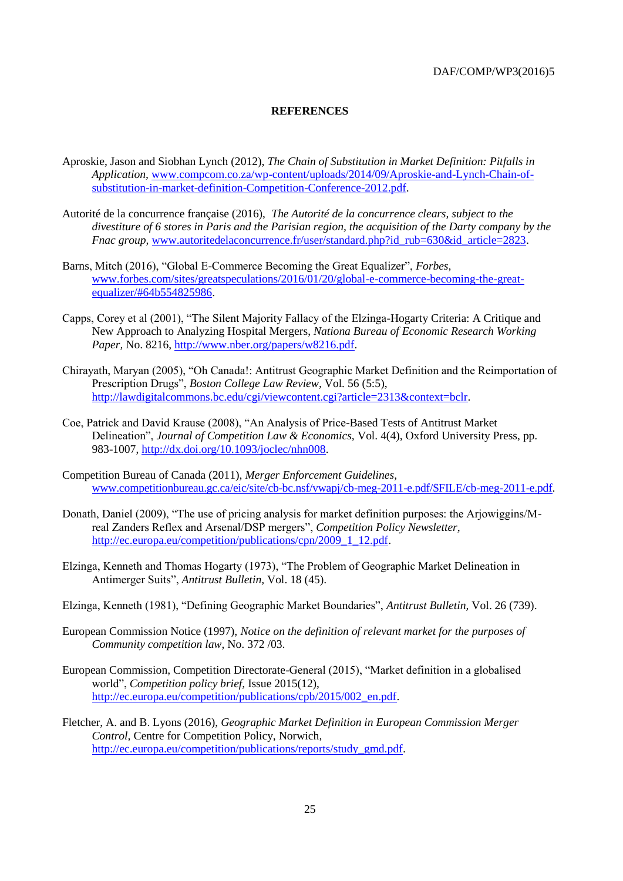#### <span id="page-24-0"></span>**REFERENCES**

- Aproskie, Jason and Siobhan Lynch (2012), *The Chain of Substitution in Market Definition: Pitfalls in Application,* [www.compcom.co.za/wp-content/uploads/2014/09/Aproskie-and-Lynch-Chain-of](http://www.compcom.co.za/wp-content/uploads/2014/09/Aproskie-and-Lynch-Chain-of-substitution-in-market-definition-Competition-Conference-2012.pdf)[substitution-in-market-definition-Competition-Conference-2012.pdf.](http://www.compcom.co.za/wp-content/uploads/2014/09/Aproskie-and-Lynch-Chain-of-substitution-in-market-definition-Competition-Conference-2012.pdf)
- Autorité de la concurrence française (2016), *The Autorité de la concurrence clears, subject to the divestiture of 6 stores in Paris and the Parisian region, the acquisition of the Darty company by the Fnac group, [www.autoritedelaconcurrence.fr/user/standard.php?id\\_rub=630&id\\_article=2823.](http://www.autoritedelaconcurrence.fr/user/standard.php?id_rub=630&id_article=2823)*
- Barns, Mitch (2016), "Global E-Commerce Becoming the Great Equalizer", *Forbes,*  [www.forbes.com/sites/greatspeculations/2016/01/20/global-e-commerce-becoming-the-great](http://www.forbes.com/sites/greatspeculations/2016/01/20/global-e-commerce-becoming-the-great-equalizer/#64b554825986)[equalizer/#64b554825986.](http://www.forbes.com/sites/greatspeculations/2016/01/20/global-e-commerce-becoming-the-great-equalizer/#64b554825986)
- Capps, Corey et al (2001), "The Silent Majority Fallacy of the Elzinga-Hogarty Criteria: A Critique and New Approach to Analyzing Hospital Mergers, *Nationa Bureau of Economic Research Working Paper,* No. 8216[, http://www.nber.org/papers/w8216.pdf.](http://www.nber.org/papers/w8216.pdf)
- Chirayath, Maryan (2005), "Oh Canada!: Antitrust Geographic Market Definition and the Reimportation of Prescription Drugs", *Boston College Law Review,* Vol. 56 (5:5), [http://lawdigitalcommons.bc.edu/cgi/viewcontent.cgi?article=2313&context=bclr.](http://lawdigitalcommons.bc.edu/cgi/viewcontent.cgi?article=2313&context=bclr)
- Coe, Patrick and David Krause (2008), "An Analysis of Price-Based Tests of Antitrust Market Delineation", *Journal of Competition Law & Economics,* Vol. 4(4), Oxford University Press, pp. 983-1007, [http://dx.doi.org/10.1093/joclec/nhn008.](http://dx.doi.org/10.1093/joclec/nhn008)
- Competition Bureau of Canada (2011), *Merger Enforcement Guidelines,*  [www.competitionbureau.gc.ca/eic/site/cb-bc.nsf/vwapj/cb-meg-2011-e.pdf/\\$FILE/cb-meg-2011-e.pdf.](http://www.competitionbureau.gc.ca/eic/site/cb-bc.nsf/vwapj/cb-meg-2011-e.pdf/$FILE/cb-meg-2011-e.pdf)
- Donath, Daniel (2009), "The use of pricing analysis for market definition purposes: the Arjowiggins/Mreal Zanders Reflex and Arsenal/DSP mergers", *Competition Policy Newsletter,*  [http://ec.europa.eu/competition/publications/cpn/2009\\_1\\_12.pdf.](http://ec.europa.eu/competition/publications/cpn/2009_1_12.pdf)
- Elzinga, Kenneth and Thomas Hogarty (1973), "The Problem of Geographic Market Delineation in Antimerger Suits", *Antitrust Bulletin,* Vol. 18 (45).
- Elzinga, Kenneth (1981), "Defining Geographic Market Boundaries", *Antitrust Bulletin,* Vol. 26 (739).
- European Commission Notice (1997), *Notice on the definition of relevant market for the purposes of Community competition law*, No. 372 /03.
- European Commission, Competition Directorate-General (2015), "Market definition in a globalised world", *Competition policy brief,* Issue 2015(12), [http://ec.europa.eu/competition/publications/cpb/2015/002\\_en.pdf.](http://ec.europa.eu/competition/publications/cpb/2015/002_en.pdf)
- Fletcher, A. and B. Lyons (2016), *Geographic Market Definition in European Commission Merger Control,* Centre for Competition Policy, Norwich, [http://ec.europa.eu/competition/publications/reports/study\\_gmd.pdf.](http://ec.europa.eu/competition/publications/reports/study_gmd.pdf)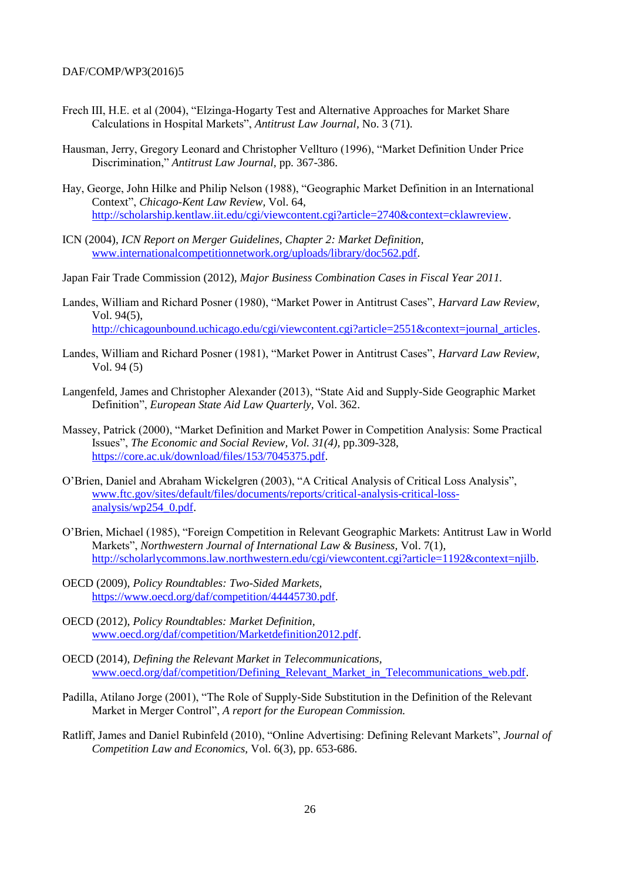- Frech III, H.E. et al (2004), "Elzinga-Hogarty Test and Alternative Approaches for Market Share Calculations in Hospital Markets", *Antitrust Law Journal,* No. 3 (71).
- Hausman, Jerry, Gregory Leonard and Christopher Vellturo (1996), "Market Definition Under Price Discrimination," *Antitrust Law Journal,* pp. 367-386.
- Hay, George, John Hilke and Philip Nelson (1988), "Geographic Market Definition in an International Context", *Chicago-Kent Law Review,* Vol. 64, [http://scholarship.kentlaw.iit.edu/cgi/viewcontent.cgi?article=2740&context=cklawreview.](http://scholarship.kentlaw.iit.edu/cgi/viewcontent.cgi?article=2740&context=cklawreview)
- ICN (2004), *ICN Report on Merger Guidelines, Chapter 2: Market Definition,*  [www.internationalcompetitionnetwork.org/uploads/library/doc562.pdf.](http://www.internationalcompetitionnetwork.org/uploads/library/doc562.pdf)
- Japan Fair Trade Commission (2012), *Major Business Combination Cases in Fiscal Year 2011.*
- Landes, William and Richard Posner (1980), "Market Power in Antitrust Cases", *Harvard Law Review,*  Vol. 94(5), [http://chicagounbound.uchicago.edu/cgi/viewcontent.cgi?article=2551&context=journal\\_articles.](http://chicagounbound.uchicago.edu/cgi/viewcontent.cgi?article=2551&context=journal_articles)
- Landes, William and Richard Posner (1981), "Market Power in Antitrust Cases", *Harvard Law Review,*  Vol. 94 (5)
- Langenfeld, James and Christopher Alexander (2013), "State Aid and Supply-Side Geographic Market Definition", *European State Aid Law Quarterly,* Vol. 362.
- Massey, Patrick (2000), "Market Definition and Market Power in Competition Analysis: Some Practical Issues", *The Economic and Social Review, Vol. 31(4),* pp.309-328, [https://core.ac.uk/download/files/153/7045375.pdf.](https://core.ac.uk/download/files/153/7045375.pdf)
- O'Brien, Daniel and Abraham Wickelgren (2003), "A Critical Analysis of Critical Loss Analysis", [www.ftc.gov/sites/default/files/documents/reports/critical-analysis-critical-loss](https://www.ftc.gov/sites/default/files/documents/reports/critical-analysis-critical-loss-analysis/wp254_0.pdf)[analysis/wp254\\_0.pdf.](https://www.ftc.gov/sites/default/files/documents/reports/critical-analysis-critical-loss-analysis/wp254_0.pdf)
- O'Brien, Michael (1985), "Foreign Competition in Relevant Geographic Markets: Antitrust Law in World Markets", *Northwestern Journal of International Law & Business,* Vol. 7(1), [http://scholarlycommons.law.northwestern.edu/cgi/viewcontent.cgi?article=1192&context=njilb.](http://scholarlycommons.law.northwestern.edu/cgi/viewcontent.cgi?article=1192&context=njilb)
- OECD (2009), *Policy Roundtables: Two-Sided Markets,*  [https://www.oecd.org/daf/competition/44445730.pdf.](https://www.oecd.org/daf/competition/44445730.pdf)
- OECD (2012), *Policy Roundtables: Market Definition,*  [www.oecd.org/daf/competition/Marketdefinition2012.pdf.](http://www.oecd.org/daf/competition/Marketdefinition2012.pdf)
- OECD (2014), *Defining the Relevant Market in Telecommunications,*  [www.oecd.org/daf/competition/Defining\\_Relevant\\_Market\\_in\\_Telecommunications\\_web.pdf.](https://www.oecd.org/daf/competition/Defining_Relevant_Market_in_Telecommunications_web.pdf)
- Padilla, Atilano Jorge (2001), "The Role of Supply-Side Substitution in the Definition of the Relevant Market in Merger Control", *A report for the European Commission.*
- Ratliff, James and Daniel Rubinfeld (2010), "Online Advertising: Defining Relevant Markets", *Journal of Competition Law and Economics,* Vol. 6(3), pp. 653-686.